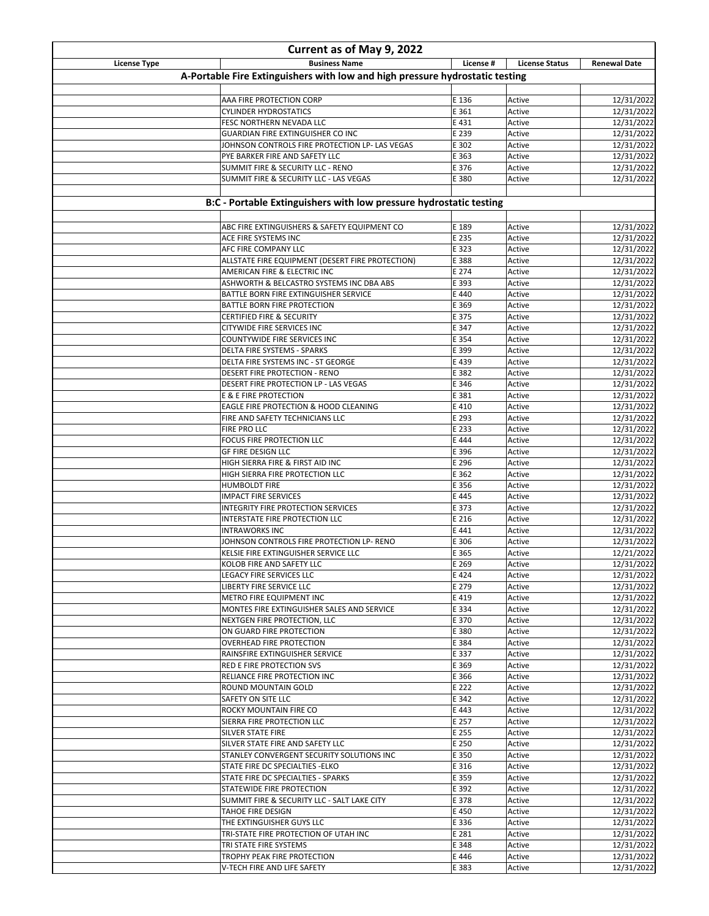| Current as of May 9, 2022 |                                                                                  |                |                       |                          |
|---------------------------|----------------------------------------------------------------------------------|----------------|-----------------------|--------------------------|
| <b>License Type</b>       | <b>Business Name</b>                                                             | License #      | <b>License Status</b> | <b>Renewal Date</b>      |
|                           | A-Portable Fire Extinguishers with low and high pressure hydrostatic testing     |                |                       |                          |
|                           |                                                                                  |                |                       |                          |
|                           | AAA FIRE PROTECTION CORP                                                         | E 136          | Active                | 12/31/2022               |
|                           | <b>CYLINDER HYDROSTATICS</b><br>FESC NORTHERN NEVADA LLC                         | E 361<br>E 431 | Active<br>Active      | 12/31/2022<br>12/31/2022 |
|                           | GUARDIAN FIRE EXTINGUISHER CO INC                                                | E 239          | Active                | 12/31/2022               |
|                           | JOHNSON CONTROLS FIRE PROTECTION LP- LAS VEGAS                                   | E 302          | Active                | 12/31/2022               |
|                           | PYE BARKER FIRE AND SAFETY LLC                                                   | E 363          | Active                | 12/31/2022               |
|                           | SUMMIT FIRE & SECURITY LLC - RENO                                                | E 376          | Active                | 12/31/2022               |
|                           | SUMMIT FIRE & SECURITY LLC - LAS VEGAS                                           | E 380          | Active                | 12/31/2022               |
|                           |                                                                                  |                |                       |                          |
|                           | B:C - Portable Extinguishers with low pressure hydrostatic testing               |                |                       |                          |
|                           |                                                                                  |                |                       |                          |
|                           | ABC FIRE EXTINGUISHERS & SAFETY EQUIPMENT CO                                     | E 189          | Active                | 12/31/2022               |
|                           | ACE FIRE SYSTEMS INC                                                             | E 235          | Active                | 12/31/2022               |
|                           | AFC FIRE COMPANY LLC                                                             | E 323<br>E 388 | Active<br>Active      | 12/31/2022<br>12/31/2022 |
|                           | ALLSTATE FIRE EQUIPMENT (DESERT FIRE PROTECTION)<br>AMERICAN FIRE & ELECTRIC INC | E 274          | Active                | 12/31/2022               |
|                           | ASHWORTH & BELCASTRO SYSTEMS INC DBA ABS                                         | E 393          | Active                | 12/31/2022               |
|                           | BATTLE BORN FIRE EXTINGUISHER SERVICE                                            | E 440          | Active                | 12/31/2022               |
|                           | BATTLE BORN FIRE PROTECTION                                                      | E 369          | Active                | 12/31/2022               |
|                           | CERTIFIED FIRE & SECURITY                                                        | E 375          | Active                | 12/31/2022               |
|                           | CITYWIDE FIRE SERVICES INC                                                       | E 347          | Active                | 12/31/2022               |
|                           | COUNTYWIDE FIRE SERVICES INC                                                     | E 354          | Active                | 12/31/2022               |
|                           | DELTA FIRE SYSTEMS - SPARKS                                                      | E 399          | Active                | 12/31/2022               |
|                           | DELTA FIRE SYSTEMS INC - ST GEORGE                                               | E 439          | Active                | 12/31/2022               |
|                           | DESERT FIRE PROTECTION - RENO                                                    | E 382          | Active                | 12/31/2022               |
|                           | DESERT FIRE PROTECTION LP - LAS VEGAS<br>E & E FIRE PROTECTION                   | E 346<br>E 381 | Active<br>Active      | 12/31/2022<br>12/31/2022 |
|                           | EAGLE FIRE PROTECTION & HOOD CLEANING                                            | E 410          | Active                | 12/31/2022               |
|                           | FIRE AND SAFETY TECHNICIANS LLC                                                  | E 293          | Active                | 12/31/2022               |
|                           | <b>FIRE PRO LLC</b>                                                              | E 233          | Active                | 12/31/2022               |
|                           | FOCUS FIRE PROTECTION LLC                                                        | E 444          | Active                | 12/31/2022               |
|                           | <b>GF FIRE DESIGN LLC</b>                                                        | E 396          | Active                | 12/31/2022               |
|                           | HIGH SIERRA FIRE & FIRST AID INC                                                 | E 296          | Active                | 12/31/2022               |
|                           | HIGH SIERRA FIRE PROTECTION LLC                                                  | E 362          | Active                | 12/31/2022               |
|                           | <b>HUMBOLDT FIRE</b>                                                             | E 356          | Active                | 12/31/2022               |
|                           | <b>IMPACT FIRE SERVICES</b>                                                      | E 445          | Active                | 12/31/2022               |
|                           | INTEGRITY FIRE PROTECTION SERVICES<br>INTERSTATE FIRE PROTECTION LLC             | E 373<br>E 216 | Active<br>Active      | 12/31/2022<br>12/31/2022 |
|                           | <b>INTRAWORKS INC</b>                                                            | E 441          | Active                | 12/31/2022               |
|                           | JOHNSON CONTROLS FIRE PROTECTION LP- RENO                                        | E 306          | Active                | 12/31/2022               |
|                           | KELSIE FIRE EXTINGUISHER SERVICE LLC                                             | E 365          | Active                | 12/21/2022               |
|                           | KOLOB FIRE AND SAFETY LLC                                                        | E 269          | Active                | 12/31/2022               |
|                           | LEGACY FIRE SERVICES LLC                                                         | E 424          | Active                | 12/31/2022               |
|                           | LIBERTY FIRE SERVICE LLC                                                         | E 279          | Active                | 12/31/2022               |
|                           | <b>METRO FIRE EQUIPMENT INC</b>                                                  | E 419          | Active                | 12/31/2022               |
|                           | MONTES FIRE EXTINGUISHER SALES AND SERVICE                                       | E 334          | Active                | 12/31/2022               |
|                           | NEXTGEN FIRE PROTECTION, LLC                                                     | E 370          | Active                | 12/31/2022               |
|                           | ON GUARD FIRE PROTECTION                                                         | E 380          | Active                | 12/31/2022               |
|                           | OVERHEAD FIRE PROTECTION<br>RAINSFIRE EXTINGUISHER SERVICE                       | E 384<br>E 337 | Active<br>Active      | 12/31/2022<br>12/31/2022 |
|                           | <b>RED E FIRE PROTECTION SVS</b>                                                 | E 369          | Active                | 12/31/2022               |
|                           | RELIANCE FIRE PROTECTION INC                                                     | E 366          | Active                | 12/31/2022               |
|                           | <b>ROUND MOUNTAIN GOLD</b>                                                       | E 222          | Active                | 12/31/2022               |
|                           | <b>SAFETY ON SITE LLC</b>                                                        | E 342          | Active                | 12/31/2022               |
|                           | <b>ROCKY MOUNTAIN FIRE CO</b>                                                    | E 443          | Active                | 12/31/2022               |
|                           | SIERRA FIRE PROTECTION LLC                                                       | E 257          | Active                | 12/31/2022               |
|                           | <b>SILVER STATE FIRE</b>                                                         | E 255          | Active                | 12/31/2022               |
|                           | SILVER STATE FIRE AND SAFETY LLC                                                 | E 250          | Active                | 12/31/2022               |
|                           | STANLEY CONVERGENT SECURITY SOLUTIONS INC                                        | E 350          | Active                | 12/31/2022               |
|                           | STATE FIRE DC SPECIALTIES - ELKO                                                 | E 316          | Active                | 12/31/2022               |
|                           | STATE FIRE DC SPECIALTIES - SPARKS<br>STATEWIDE FIRE PROTECTION                  | E 359<br>E 392 | Active<br>Active      | 12/31/2022<br>12/31/2022 |
|                           | SUMMIT FIRE & SECURITY LLC - SALT LAKE CITY                                      | E 378          | Active                | 12/31/2022               |
|                           | <b>TAHOE FIRE DESIGN</b>                                                         | E 450          | Active                | 12/31/2022               |
|                           | THE EXTINGUISHER GUYS LLC                                                        | E 336          | Active                | 12/31/2022               |
|                           | TRI-STATE FIRE PROTECTION OF UTAH INC                                            | E 281          | Active                | 12/31/2022               |
|                           | TRI STATE FIRE SYSTEMS                                                           | E 348          | Active                | 12/31/2022               |
|                           | TROPHY PEAK FIRE PROTECTION                                                      | E 446          | Active                | 12/31/2022               |
|                           | V-TECH FIRE AND LIFE SAFETY                                                      | E 383          | Active                | 12/31/2022               |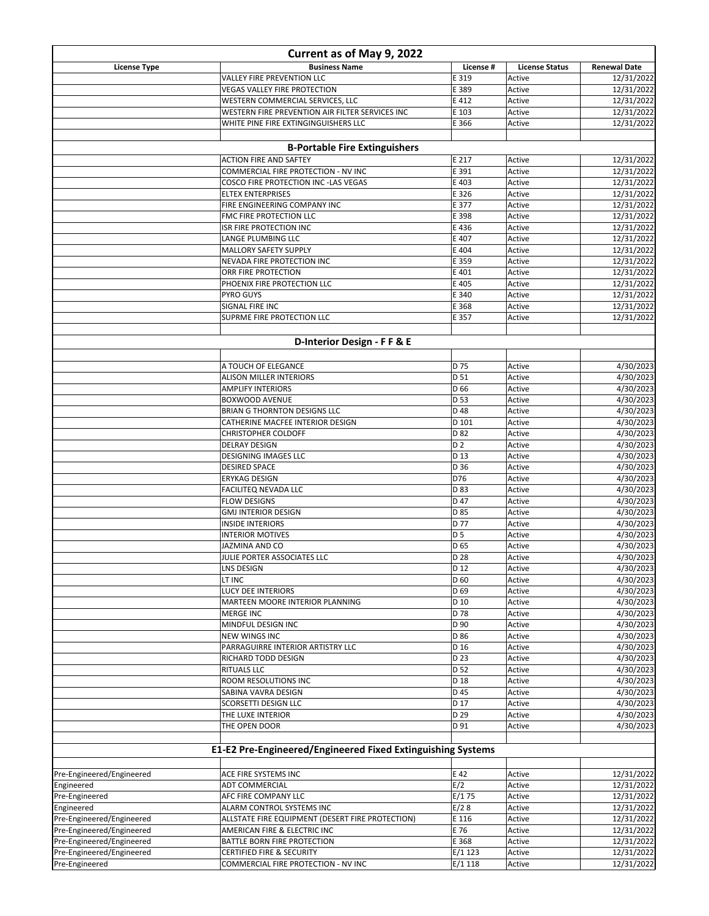| Current as of May 9, 2022                              |                                                             |                 |                       |                          |
|--------------------------------------------------------|-------------------------------------------------------------|-----------------|-----------------------|--------------------------|
| <b>License Type</b>                                    | <b>Business Name</b>                                        | License #       | <b>License Status</b> | <b>Renewal Date</b>      |
|                                                        | VALLEY FIRE PREVENTION LLC                                  | E 319           | Active                | 12/31/2022               |
|                                                        | <b>VEGAS VALLEY FIRE PROTECTION</b>                         | E 389           | Active                | 12/31/2022               |
|                                                        | WESTERN COMMERCIAL SERVICES, LLC                            | E 412           | Active                | 12/31/2022               |
|                                                        | WESTERN FIRE PREVENTION AIR FILTER SERVICES INC             | E 103           | Active                | 12/31/2022               |
|                                                        | WHITE PINE FIRE EXTINGINGUISHERS LLC                        | E 366           | Active                | 12/31/2022               |
|                                                        | <b>B-Portable Fire Extinguishers</b>                        |                 |                       |                          |
|                                                        | <b>ACTION FIRE AND SAFTEY</b>                               | E 217           | Active                | 12/31/2022               |
|                                                        | COMMERCIAL FIRE PROTECTION - NV INC                         | E 391           | Active                | 12/31/2022               |
|                                                        | COSCO FIRE PROTECTION INC -LAS VEGAS                        | E 403           | Active                | 12/31/2022               |
|                                                        | <b>ELTEX ENTERPRISES</b>                                    | E 326           | Active                | 12/31/2022               |
|                                                        | FIRE ENGINEERING COMPANY INC                                | E 377           | Active                | 12/31/2022               |
|                                                        | FMC FIRE PROTECTION LLC                                     | E 398           | Active                | 12/31/2022               |
|                                                        | <b>ISR FIRE PROTECTION INC</b>                              | E 436           | Active                | 12/31/2022               |
|                                                        | LANGE PLUMBING LLC<br>MALLORY SAFETY SUPPLY                 | E 407<br>E 404  | Active<br>Active      | 12/31/2022<br>12/31/2022 |
|                                                        | NEVADA FIRE PROTECTION INC                                  | E 359           | Active                | 12/31/2022               |
|                                                        | ORR FIRE PROTECTION                                         | E 401           | Active                | 12/31/2022               |
|                                                        | PHOENIX FIRE PROTECTION LLC                                 | E 405           | Active                | 12/31/2022               |
|                                                        | <b>PYRO GUYS</b>                                            | E 340           | Active                | 12/31/2022               |
|                                                        | <b>SIGNAL FIRE INC</b>                                      | E 368           | Active                | 12/31/2022               |
|                                                        | SUPRME FIRE PROTECTION LLC                                  | E 357           | Active                | 12/31/2022               |
|                                                        |                                                             |                 |                       |                          |
|                                                        | D-Interior Design - F F & E                                 |                 |                       |                          |
|                                                        | A TOUCH OF ELEGANCE                                         | D 75            | Active                | 4/30/2023                |
|                                                        | ALISON MILLER INTERIORS                                     | D 51            | Active                | 4/30/2023                |
|                                                        | <b>AMPLIFY INTERIORS</b>                                    | D 66            | Active                | 4/30/2023                |
|                                                        | <b>BOXWOOD AVENUE</b>                                       | D 53            | Active                | 4/30/2023                |
|                                                        | <b>BRIAN G THORNTON DESIGNS LLC</b>                         | D 48            | Active                | 4/30/2023                |
|                                                        | CATHERINE MACFEE INTERIOR DESIGN                            | D 101           | Active                | 4/30/2023                |
|                                                        | CHRISTOPHER COLDOFF                                         | D 82            | Active                | 4/30/2023                |
|                                                        | <b>DELRAY DESIGN</b>                                        | D <sub>2</sub>  | Active                | 4/30/2023                |
|                                                        | <b>DESIGNING IMAGES LLC</b><br><b>DESIRED SPACE</b>         | D 13<br>D 36    | Active<br>Active      | 4/30/2023<br>4/30/2023   |
|                                                        | <b>ERYKAG DESIGN</b>                                        | D76             | Active                | 4/30/2023                |
|                                                        | <b>FACILITEQ NEVADA LLC</b>                                 | D 83            | Active                | 4/30/2023                |
|                                                        | <b>FLOW DESIGNS</b>                                         | D 47            | Active                | 4/30/2023                |
|                                                        | <b>GMJ INTERIOR DESIGN</b>                                  | D 85            | Active                | 4/30/2023                |
|                                                        | <b>INSIDE INTERIORS</b>                                     | D 77            | Active                | 4/30/2023                |
|                                                        | <b>INTERIOR MOTIVES</b>                                     | <b>D5</b>       | Active                | 4/30/2023                |
|                                                        | <b>JAZMINA AND CO</b>                                       | D <sub>65</sub> | Active                | 4/30/2023                |
|                                                        | JULIE PORTER ASSOCIATES LLC                                 | D 28            | Active                | 4/30/2023                |
|                                                        | <b>LNS DESIGN</b><br>LT INC                                 | D 12<br>D 60    | Active<br>Active      | 4/30/2023<br>4/30/2023   |
|                                                        | <b>LUCY DEE INTERIORS</b>                                   | D <sub>69</sub> | Active                | 4/30/2023                |
|                                                        | MARTEEN MOORE INTERIOR PLANNING                             | D 10            | Active                | 4/30/2023                |
|                                                        | <b>MERGE INC</b>                                            | D 78            | Active                | 4/30/2023                |
|                                                        | MINDFUL DESIGN INC                                          | D 90            | Active                | 4/30/2023                |
|                                                        | <b>NEW WINGS INC</b>                                        | D 86            | Active                | 4/30/2023                |
|                                                        | PARRAGUIRRE INTERIOR ARTISTRY LLC                           | D 16            | Active                | 4/30/2023                |
|                                                        | RICHARD TODD DESIGN                                         | D 23            | Active                | 4/30/2023                |
|                                                        | <b>RITUALS LLC</b>                                          | D <sub>52</sub> | Active                | 4/30/2023                |
|                                                        | ROOM RESOLUTIONS INC<br>SABINA VAVRA DESIGN                 | D 18<br>D 45    | Active<br>Active      | 4/30/2023<br>4/30/2023   |
|                                                        | SCORSETTI DESIGN LLC                                        | D 17            | Active                | 4/30/2023                |
|                                                        | THE LUXE INTERIOR                                           | D 29            | Active                | 4/30/2023                |
|                                                        | THE OPEN DOOR                                               | D 91            | Active                | 4/30/2023                |
|                                                        |                                                             |                 |                       |                          |
|                                                        | E1-E2 Pre-Engineered/Engineered Fixed Extinguishing Systems |                 |                       |                          |
| Pre-Engineered/Engineered                              | ACE FIRE SYSTEMS INC                                        | E 42            | Active                | 12/31/2022               |
| Engineered                                             | ADT COMMERCIAL                                              | E/2             | Active                | 12/31/2022               |
| Pre-Engineered                                         | AFC FIRE COMPANY LLC                                        | E/175           | Active                | 12/31/2022               |
| Engineered                                             | ALARM CONTROL SYSTEMS INC                                   | E/28            | Active                | 12/31/2022               |
| Pre-Engineered/Engineered                              | ALLSTATE FIRE EQUIPMENT (DESERT FIRE PROTECTION)            | E 116           | Active                | 12/31/2022               |
| Pre-Engineered/Engineered<br>Pre-Engineered/Engineered | AMERICAN FIRE & ELECTRIC INC<br>BATTLE BORN FIRE PROTECTION | E 76<br>E 368   | Active<br>Active      | 12/31/2022<br>12/31/2022 |
| Pre-Engineered/Engineered                              | CERTIFIED FIRE & SECURITY                                   | E/1123          | Active                | 12/31/2022               |
| Pre-Engineered                                         | COMMERCIAL FIRE PROTECTION - NV INC                         | E/1118          | Active                | 12/31/2022               |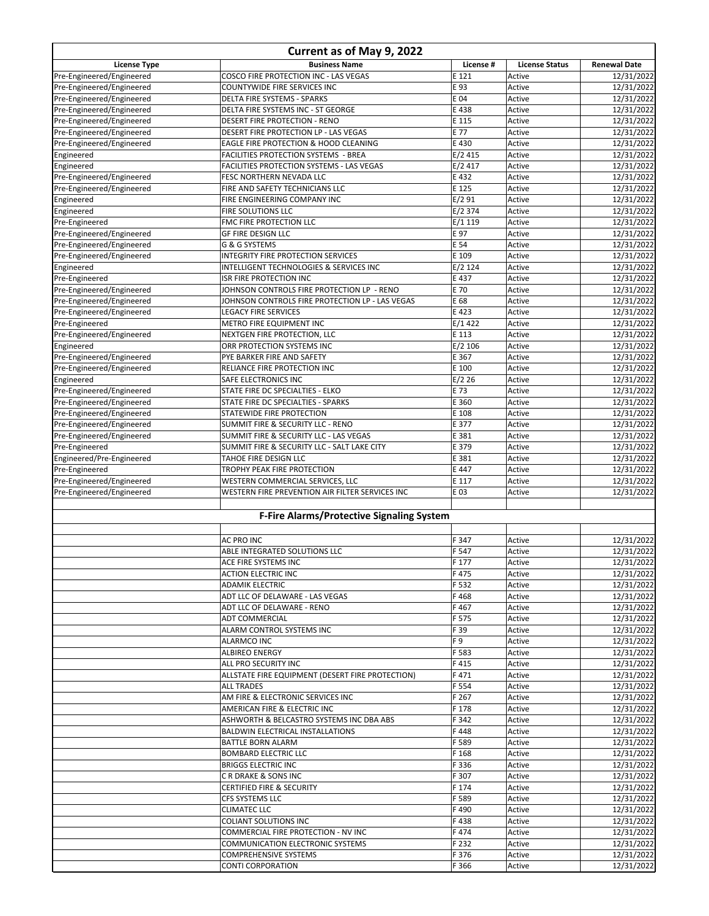| Current as of May 9, 2022                              |                                                     |               |                       |                          |
|--------------------------------------------------------|-----------------------------------------------------|---------------|-----------------------|--------------------------|
| <b>License Type</b>                                    | <b>Business Name</b>                                | License #     | <b>License Status</b> | <b>Renewal Date</b>      |
| Pre-Engineered/Engineered                              | COSCO FIRE PROTECTION INC - LAS VEGAS               | E 121         | Active                | 12/31/2022               |
| Pre-Engineered/Engineered                              | COUNTYWIDE FIRE SERVICES INC                        | E 93          | Active                | 12/31/2022               |
| Pre-Engineered/Engineered                              | DELTA FIRE SYSTEMS - SPARKS                         | E 04          | Active                | 12/31/2022               |
| Pre-Engineered/Engineered                              | DELTA FIRE SYSTEMS INC - ST GEORGE                  | E 438         | Active                | 12/31/2022               |
| Pre-Engineered/Engineered                              | DESERT FIRE PROTECTION - RENO                       | E 115         | Active                | 12/31/2022               |
| Pre-Engineered/Engineered                              | DESERT FIRE PROTECTION LP - LAS VEGAS               | E 77          | Active                | 12/31/2022               |
| Pre-Engineered/Engineered                              | EAGLE FIRE PROTECTION & HOOD CLEANING               | E 430         | Active                | 12/31/2022               |
| Engineered                                             | FACILITIES PROTECTION SYSTEMS - BREA                | E/2415        | Active                | 12/31/2022               |
| Engineered                                             | FACILITIES PROTECTION SYSTEMS - LAS VEGAS           | E/2417        | Active                | 12/31/2022               |
| Pre-Engineered/Engineered                              | FESC NORTHERN NEVADA LLC                            | E 432         | Active                | 12/31/2022               |
| Pre-Engineered/Engineered                              | FIRE AND SAFETY TECHNICIANS LLC                     | E 125         | Active                | 12/31/2022               |
| Engineered                                             | FIRE ENGINEERING COMPANY INC                        | E/291         | Active                | 12/31/2022               |
| Engineered                                             | FIRE SOLUTIONS LLC                                  | $E/2$ 374     | Active                | 12/31/2022               |
| Pre-Engineered                                         | FMC FIRE PROTECTION LLC                             | E/1119        | Active                | 12/31/2022               |
| Pre-Engineered/Engineered<br>Pre-Engineered/Engineered | <b>GF FIRE DESIGN LLC</b>                           | E 97<br>E 54  | Active                | 12/31/2022               |
| Pre-Engineered/Engineered                              | G & G SYSTEMS<br>INTEGRITY FIRE PROTECTION SERVICES | E 109         | Active<br>Active      | 12/31/2022<br>12/31/2022 |
| Engineered                                             | INTELLIGENT TECHNOLOGIES & SERVICES INC             | $E/2$ 124     | Active                | 12/31/2022               |
| Pre-Engineered                                         | <b>ISR FIRE PROTECTION INC</b>                      | E 437         | Active                | 12/31/2022               |
| Pre-Engineered/Engineered                              | JOHNSON CONTROLS FIRE PROTECTION LP - RENO          | E 70          | Active                | 12/31/2022               |
| Pre-Engineered/Engineered                              | JOHNSON CONTROLS FIRE PROTECTION LP - LAS VEGAS     | E 68          | Active                | 12/31/2022               |
| Pre-Engineered/Engineered                              | <b>LEGACY FIRE SERVICES</b>                         | E 423         | Active                | 12/31/2022               |
| Pre-Engineered                                         | METRO FIRE EQUIPMENT INC                            | E/1422        | Active                | 12/31/2022               |
| Pre-Engineered/Engineered                              | NEXTGEN FIRE PROTECTION, LLC                        | E 113         | Active                | 12/31/2022               |
| Engineered                                             | ORR PROTECTION SYSTEMS INC                          | $E/2$ 106     | Active                | 12/31/2022               |
| Pre-Engineered/Engineered                              | PYE BARKER FIRE AND SAFETY                          | E 367         | Active                | 12/31/2022               |
| Pre-Engineered/Engineered                              | RELIANCE FIRE PROTECTION INC                        | E 100         | Active                | 12/31/2022               |
| Engineered                                             | SAFE ELECTRONICS INC                                | $E/2$ 26      | Active                | 12/31/2022               |
| Pre-Engineered/Engineered                              | STATE FIRE DC SPECIALTIES - ELKO                    | E 73          | Active                | 12/31/2022               |
| Pre-Engineered/Engineered                              | STATE FIRE DC SPECIALTIES - SPARKS                  | E 360         | Active                | 12/31/2022               |
| Pre-Engineered/Engineered                              | STATEWIDE FIRE PROTECTION                           | E 108         | Active                | 12/31/2022               |
| Pre-Engineered/Engineered                              | SUMMIT FIRE & SECURITY LLC - RENO                   | E 377         | Active                | 12/31/2022               |
| Pre-Engineered/Engineered                              | SUMMIT FIRE & SECURITY LLC - LAS VEGAS              | E 381         | Active                | 12/31/2022               |
| Pre-Engineered                                         | SUMMIT FIRE & SECURITY LLC - SALT LAKE CITY         | E 379         | Active                | 12/31/2022               |
| Engineered/Pre-Engineered                              | TAHOE FIRE DESIGN LLC                               | E 381         | Active                | 12/31/2022               |
| Pre-Engineered                                         | TROPHY PEAK FIRE PROTECTION                         | E 447         | Active                | 12/31/2022               |
| Pre-Engineered/Engineered                              | WESTERN COMMERCIAL SERVICES, LLC                    | E 117         | Active                | 12/31/2022               |
| Pre-Engineered/Engineered                              | WESTERN FIRE PREVENTION AIR FILTER SERVICES INC     | E 03          | Active                | 12/31/2022               |
|                                                        | F-Fire Alarms/Protective Signaling System           |               |                       |                          |
|                                                        |                                                     |               |                       |                          |
|                                                        | <b>AC PRO INC</b>                                   | F 347         | Active                | 12/31/2022               |
|                                                        | ABLE INTEGRATED SOLUTIONS LLC                       | F 547         | Active                | 12/31/2022               |
|                                                        | ACE FIRE SYSTEMS INC                                | F 177         | Active                | 12/31/2022               |
|                                                        | <b>ACTION ELECTRIC INC</b>                          | F475          | Active                | 12/31/2022               |
|                                                        | <b>ADAMIK ELECTRIC</b>                              | F 532         | Active                | 12/31/2022               |
|                                                        | ADT LLC OF DELAWARE - LAS VEGAS                     | F468          | Active                | 12/31/2022               |
|                                                        | ADT LLC OF DELAWARE - RENO<br><b>ADT COMMERCIAL</b> | F467<br>F 575 | Active<br>Active      | 12/31/2022<br>12/31/2022 |
|                                                        | ALARM CONTROL SYSTEMS INC                           | F 39          | Active                | 12/31/2022               |
|                                                        | ALARMCO INC                                         | F 9           | Active                | 12/31/2022               |
|                                                        | ALBIREO ENERGY                                      | F 583         | Active                | 12/31/2022               |
|                                                        | ALL PRO SECURITY INC                                | F415          | Active                | 12/31/2022               |
|                                                        | ALLSTATE FIRE EQUIPMENT (DESERT FIRE PROTECTION)    | F471          | Active                | 12/31/2022               |
|                                                        | <b>ALL TRADES</b>                                   | F 554         | Active                | 12/31/2022               |
|                                                        | AM FIRE & ELECTRONIC SERVICES INC                   | F 267         | Active                | 12/31/2022               |
|                                                        | AMERICAN FIRE & ELECTRIC INC                        | F 178         | Active                | 12/31/2022               |
|                                                        | ASHWORTH & BELCASTRO SYSTEMS INC DBA ABS            | F 342         | Active                | 12/31/2022               |
|                                                        | <b>BALDWIN ELECTRICAL INSTALLATIONS</b>             | F448          | Active                | 12/31/2022               |
|                                                        | <b>BATTLE BORN ALARM</b>                            | F 589         | Active                | 12/31/2022               |
|                                                        | <b>BOMBARD ELECTRIC LLC</b>                         | F 168         | Active                | 12/31/2022               |
|                                                        | <b>BRIGGS ELECTRIC INC</b>                          | F 336         | Active                | 12/31/2022               |
|                                                        | C R DRAKE & SONS INC                                | F 307         | Active                | 12/31/2022               |
|                                                        | <b>CERTIFIED FIRE &amp; SECURITY</b>                | F 174         | Active                | 12/31/2022               |
|                                                        | CFS SYSTEMS LLC                                     | F 589         | Active                | 12/31/2022               |
|                                                        | <b>CLIMATEC LLC</b>                                 | F490          | Active                | 12/31/2022               |
|                                                        | <b>COLIANT SOLUTIONS INC</b>                        | F438          | Active                | 12/31/2022               |
|                                                        | COMMERCIAL FIRE PROTECTION - NV INC                 | F474          | Active                | 12/31/2022               |
|                                                        | <b>COMMUNICATION ELECTRONIC SYSTEMS</b>             | F 232         | Active                | 12/31/2022               |
|                                                        | <b>COMPREHENSIVE SYSTEMS</b>                        | F 376         | Active                | 12/31/2022               |
|                                                        | <b>CONTI CORPORATION</b>                            | F 366         | Active                | 12/31/2022               |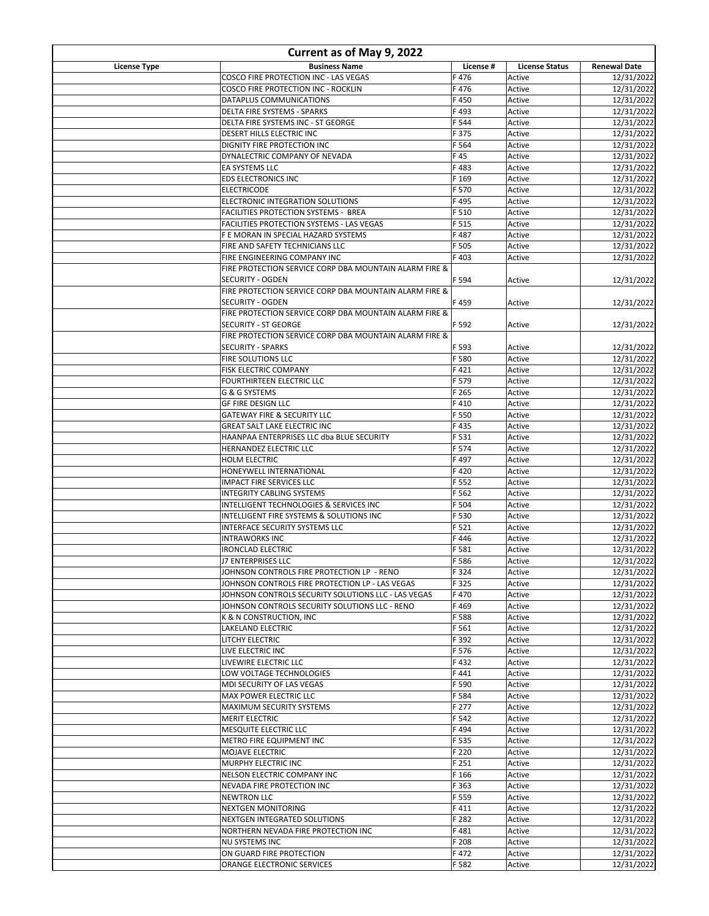| Current as of May 9, 2022 |                                                                                                       |                |                       |                          |
|---------------------------|-------------------------------------------------------------------------------------------------------|----------------|-----------------------|--------------------------|
| <b>License Type</b>       | <b>Business Name</b>                                                                                  | License #      | <b>License Status</b> | <b>Renewal Date</b>      |
|                           | COSCO FIRE PROTECTION INC - LAS VEGAS                                                                 | F476           | Active                | 12/31/2022               |
|                           | COSCO FIRE PROTECTION INC - ROCKLIN                                                                   | F476           | Active                | 12/31/2022               |
|                           | DATAPLUS COMMUNICATIONS                                                                               | F450           | Active                | 12/31/2022               |
|                           | DELTA FIRE SYSTEMS - SPARKS                                                                           | F493           | Active                | 12/31/2022               |
|                           | DELTA FIRE SYSTEMS INC - ST GEORGE<br>DESERT HILLS ELECTRIC INC                                       | F 544<br>F 375 | Active<br>Active      | 12/31/2022<br>12/31/2022 |
|                           | DIGNITY FIRE PROTECTION INC                                                                           | F 564          | Active                | 12/31/2022               |
|                           | DYNALECTRIC COMPANY OF NEVADA                                                                         | F45            | Active                | 12/31/2022               |
|                           | EA SYSTEMS LLC                                                                                        | F483           | Active                | 12/31/2022               |
|                           | <b>EDS ELECTRONICS INC</b>                                                                            | F 169          | Active                | 12/31/2022               |
|                           | <b>ELECTRICODE</b>                                                                                    | F 570          | Active                | 12/31/2022               |
|                           | ELECTRONIC INTEGRATION SOLUTIONS                                                                      | F495           | Active                | 12/31/2022               |
|                           | FACILITIES PROTECTION SYSTEMS - BREA                                                                  | F 510          | Active                | 12/31/2022               |
|                           | FACILITIES PROTECTION SYSTEMS - LAS VEGAS                                                             | F 515          | Active                | 12/31/2022               |
|                           | F E MORAN IN SPECIAL HAZARD SYSTEMS                                                                   | F487           | Active                | 12/31/2022               |
|                           | FIRE AND SAFETY TECHNICIANS LLC                                                                       | F 505          | Active                | 12/31/2022               |
|                           | FIRE ENGINEERING COMPANY INC                                                                          | F 403          | Active                | 12/31/2022               |
|                           | FIRE PROTECTION SERVICE CORP DBA MOUNTAIN ALARM FIRE &<br>SECURITY - OGDEN                            | F 594          | Active                | 12/31/2022               |
|                           | FIRE PROTECTION SERVICE CORP DBA MOUNTAIN ALARM FIRE &                                                |                |                       |                          |
|                           | SECURITY - OGDEN                                                                                      | F459           | Active                | 12/31/2022               |
|                           | FIRE PROTECTION SERVICE CORP DBA MOUNTAIN ALARM FIRE &                                                |                |                       |                          |
|                           | <b>SECURITY - ST GEORGE</b>                                                                           | F 592          | Active                | 12/31/2022               |
|                           | FIRE PROTECTION SERVICE CORP DBA MOUNTAIN ALARM FIRE &                                                |                |                       |                          |
|                           | <b>SECURITY - SPARKS</b>                                                                              | F 593          | Active                | 12/31/2022               |
|                           | FIRE SOLUTIONS LLC                                                                                    | F 580          | Active                | 12/31/2022               |
|                           | FISK ELECTRIC COMPANY                                                                                 | F421           | Active                | 12/31/2022               |
|                           | FOURTHIRTEEN ELECTRIC LLC                                                                             | F 579          | Active                | 12/31/2022               |
|                           | G & G SYSTEMS                                                                                         | F 265          | Active                | 12/31/2022               |
|                           | GF FIRE DESIGN LLC                                                                                    | F410           | Active                | 12/31/2022               |
|                           | <b>GATEWAY FIRE &amp; SECURITY LLC</b>                                                                | F 550          | Active                | 12/31/2022               |
|                           | GREAT SALT LAKE ELECTRIC INC                                                                          | F435           | Active                | 12/31/2022               |
|                           | HAANPAA ENTERPRISES LLC dba BLUE SECURITY<br>HERNANDEZ ELECTRIC LLC                                   | F 531<br>F 574 | Active<br>Active      | 12/31/2022<br>12/31/2022 |
|                           | HOLM ELECTRIC                                                                                         | F497           | Active                | 12/31/2022               |
|                           | HONEYWELL INTERNATIONAL                                                                               | F420           | Active                | 12/31/2022               |
|                           | IMPACT FIRE SERVICES LLC                                                                              | F 552          | Active                | 12/31/2022               |
|                           | <b>INTEGRITY CABLING SYSTEMS</b>                                                                      | F 562          | Active                | 12/31/2022               |
|                           | INTELLIGENT TECHNOLOGIES & SERVICES INC                                                               | F 504          | Active                | 12/31/2022               |
|                           | INTELLIGENT FIRE SYSTEMS & SOLUTIONS INC                                                              | F 530          | Active                | 12/31/2022               |
|                           | <b>INTERFACE SECURITY SYSTEMS LLC</b>                                                                 | F 521          | Active                | 12/31/2022               |
|                           | <b>INTRAWORKS INC</b>                                                                                 | F446           | Active                | 12/31/2022               |
|                           | IRONCLAD ELECTRIC                                                                                     | F 581          | Active                | 12/31/2022               |
|                           | J7 ENTERPRISES LLC                                                                                    | F 586          | Active                | 12/31/2022               |
|                           | JOHNSON CONTROLS FIRE PROTECTION LP - RENO                                                            | F 324          | Active                | 12/31/2022               |
|                           | JOHNSON CONTROLS FIRE PROTECTION LP - LAS VEGAS                                                       | F 325          | Active                | 12/31/2022               |
|                           | JOHNSON CONTROLS SECURITY SOLUTIONS LLC - LAS VEGAS<br>JOHNSON CONTROLS SECURITY SOLUTIONS LLC - RENO | F470<br>F469   | Active<br>Active      | 12/31/2022<br>12/31/2022 |
|                           | K & N CONSTRUCTION, INC                                                                               | F 588          | Active                | 12/31/2022               |
|                           | LAKELAND ELECTRIC                                                                                     | F 561          | Active                | 12/31/2022               |
|                           | LITCHY ELECTRIC                                                                                       | F 392          | Active                | 12/31/2022               |
|                           | LIVE ELECTRIC INC                                                                                     | F 576          | Active                | 12/31/2022               |
|                           | LIVEWIRE ELECTRIC LLC                                                                                 | F432           | Active                | 12/31/2022               |
|                           | LOW VOLTAGE TECHNOLOGIES                                                                              | F441           | Active                | 12/31/2022               |
|                           | MDI SECURITY OF LAS VEGAS                                                                             | F 590          | Active                | 12/31/2022               |
|                           | MAX POWER ELECTRIC LLC                                                                                | F 584          | Active                | 12/31/2022               |
|                           | MAXIMUM SECURITY SYSTEMS                                                                              | F 277          | Active                | 12/31/2022               |
|                           | MERIT ELECTRIC                                                                                        | F 542          | Active                | 12/31/2022               |
|                           | MESQUITE ELECTRIC LLC                                                                                 | F494           | Active                | 12/31/2022               |
|                           | METRO FIRE EQUIPMENT INC<br>MOJAVE ELECTRIC                                                           | F 535<br>F 220 | Active<br>Active      | 12/31/2022<br>12/31/2022 |
|                           | MURPHY ELECTRIC INC                                                                                   | F 251          | Active                | 12/31/2022               |
|                           | NELSON ELECTRIC COMPANY INC                                                                           | F 166          | Active                | 12/31/2022               |
|                           | NEVADA FIRE PROTECTION INC                                                                            | F 363          | Active                | 12/31/2022               |
|                           | <b>NEWTRON LLC</b>                                                                                    | F 559          | Active                | 12/31/2022               |
|                           | NEXTGEN MONITORING                                                                                    | F411           | Active                | 12/31/2022               |
|                           | NEXTGEN INTEGRATED SOLUTIONS                                                                          | F 282          | Active                | 12/31/2022               |
|                           | NORTHERN NEVADA FIRE PROTECTION INC                                                                   | F481           | Active                | 12/31/2022               |
|                           | NU SYSTEMS INC                                                                                        | F 208          | Active                | 12/31/2022               |
|                           | ON GUARD FIRE PROTECTION                                                                              | F472           | Active                | 12/31/2022               |
|                           | ORANGE ELECTRONIC SERVICES                                                                            | F 582          | Active                | 12/31/2022               |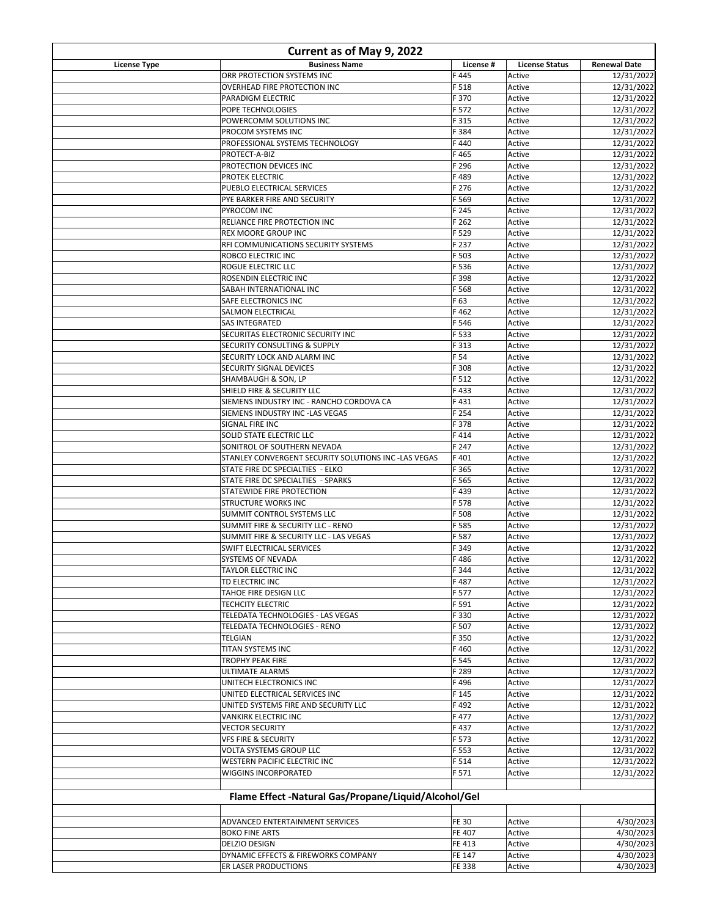| Current as of May 9, 2022 |                                                                   |                  |                       |                          |
|---------------------------|-------------------------------------------------------------------|------------------|-----------------------|--------------------------|
| <b>License Type</b>       | <b>Business Name</b>                                              | License #        | <b>License Status</b> | <b>Renewal Date</b>      |
|                           | ORR PROTECTION SYSTEMS INC                                        | F445             | Active                | 12/31/2022               |
|                           | OVERHEAD FIRE PROTECTION INC                                      | F 518            | Active                | 12/31/2022               |
|                           | PARADIGM ELECTRIC                                                 | F 370            | Active                | 12/31/2022               |
|                           | POPE TECHNOLOGIES                                                 | F 572            | Active                | 12/31/2022               |
|                           | POWERCOMM SOLUTIONS INC                                           | F 315            | Active                | 12/31/2022               |
|                           | PROCOM SYSTEMS INC                                                | F 384<br>F440    | Active<br>Active      | 12/31/2022<br>12/31/2022 |
|                           | PROFESSIONAL SYSTEMS TECHNOLOGY<br>PROTECT-A-BIZ                  | F465             | Active                | 12/31/2022               |
|                           | PROTECTION DEVICES INC                                            | F 296            | Active                | 12/31/2022               |
|                           | <b>PROTEK ELECTRIC</b>                                            | F489             | Active                | 12/31/2022               |
|                           | PUEBLO ELECTRICAL SERVICES                                        | F 276            | Active                | 12/31/2022               |
|                           | PYE BARKER FIRE AND SECURITY                                      | F 569            | Active                | 12/31/2022               |
|                           | PYROCOM INC                                                       | F 245            | Active                | 12/31/2022               |
|                           | RELIANCE FIRE PROTECTION INC                                      | F 262            | Active                | 12/31/2022               |
|                           | <b>REX MOORE GROUP INC</b>                                        | F 529            | Active                | 12/31/2022               |
|                           | RFI COMMUNICATIONS SECURITY SYSTEMS                               | F 237            | Active                | 12/31/2022               |
|                           | ROBCO ELECTRIC INC                                                | F 503            | Active                | 12/31/2022               |
|                           | <b>ROGUE ELECTRIC LLC</b>                                         | F 536            | Active                | 12/31/2022               |
|                           | ROSENDIN ELECTRIC INC                                             | F 398            | Active                | 12/31/2022               |
|                           | SABAH INTERNATIONAL INC                                           | F 568            | Active                | 12/31/2022               |
|                           | SAFE ELECTRONICS INC                                              | F 63             | Active                | 12/31/2022               |
|                           | SALMON ELECTRICAL                                                 | F462             | Active                | 12/31/2022               |
|                           | <b>SAS INTEGRATED</b>                                             | F 546            | Active                | 12/31/2022               |
|                           | SECURITAS ELECTRONIC SECURITY INC<br>SECURITY CONSULTING & SUPPLY | F 533<br>F 313   | Active<br>Active      | 12/31/2022<br>12/31/2022 |
|                           | SECURITY LOCK AND ALARM INC                                       | F 54             | Active                | 12/31/2022               |
|                           | SECURITY SIGNAL DEVICES                                           | F 308            | Active                | 12/31/2022               |
|                           | SHAMBAUGH & SON, LP                                               | F 512            | Active                | 12/31/2022               |
|                           | SHIELD FIRE & SECURITY LLC                                        | F433             | Active                | 12/31/2022               |
|                           | SIEMENS INDUSTRY INC - RANCHO CORDOVA CA                          | F431             | Active                | 12/31/2022               |
|                           | SIEMENS INDUSTRY INC -LAS VEGAS                                   | F 254            | Active                | 12/31/2022               |
|                           | SIGNAL FIRE INC                                                   | F 378            | Active                | 12/31/2022               |
|                           | SOLID STATE ELECTRIC LLC                                          | F414             | Active                | 12/31/2022               |
|                           | SONITROL OF SOUTHERN NEVADA                                       | F 247            | Active                | 12/31/2022               |
|                           | STANLEY CONVERGENT SECURITY SOLUTIONS INC -LAS VEGAS              | F401             | Active                | 12/31/2022               |
|                           | STATE FIRE DC SPECIALTIES - ELKO                                  | F 365            | Active                | 12/31/2022               |
|                           | STATE FIRE DC SPECIALTIES - SPARKS                                | F 565            | Active                | 12/31/2022               |
|                           | STATEWIDE FIRE PROTECTION                                         | F439             | Active                | 12/31/2022               |
|                           | <b>STRUCTURE WORKS INC</b><br>SUMMIT CONTROL SYSTEMS LLC          | F 578<br>F 508   | Active<br>Active      | 12/31/2022               |
|                           | SUMMIT FIRE & SECURITY LLC - RENO                                 | F 585            | Active                | 12/31/2022<br>12/31/2022 |
|                           | SUMMIT FIRE & SECURITY LLC - LAS VEGAS                            | F 587            | Active                | 12/31/2022               |
|                           | SWIFT ELECTRICAL SERVICES                                         | F 349            | Active                | 12/31/2022               |
|                           | SYSTEMS OF NEVADA                                                 | F486             | Active                | 12/31/2022               |
|                           | TAYLOR ELECTRIC INC                                               | F 344            | Active                | 12/31/2022               |
|                           | TD ELECTRIC INC                                                   | F487             | Active                | 12/31/2022               |
|                           | TAHOE FIRE DESIGN LLC                                             | F 577            | Active                | 12/31/2022               |
|                           | TECHCITY ELECTRIC                                                 | F 591            | Active                | 12/31/2022               |
|                           | TELEDATA TECHNOLOGIES - LAS VEGAS                                 | F330             | Active                | 12/31/2022               |
|                           | TELEDATA TECHNOLOGIES - RENO                                      | F 507            | Active                | 12/31/2022               |
|                           | TELGIAN                                                           | F 350            | Active                | 12/31/2022               |
|                           | TITAN SYSTEMS INC                                                 | F460             | Active                | 12/31/2022               |
|                           | TROPHY PEAK FIRE                                                  | F 545            | Active                | 12/31/2022               |
|                           | <b>ULTIMATE ALARMS</b>                                            | F 289            | Active                | 12/31/2022               |
|                           | UNITECH ELECTRONICS INC<br>UNITED ELECTRICAL SERVICES INC         | F496<br>F 145    | Active<br>Active      | 12/31/2022<br>12/31/2022 |
|                           | UNITED SYSTEMS FIRE AND SECURITY LLC                              | F492             | Active                | 12/31/2022               |
|                           | VANKIRK ELECTRIC INC                                              | F477             | Active                | 12/31/2022               |
|                           | <b>VECTOR SECURITY</b>                                            | F437             | Active                | 12/31/2022               |
|                           | <b>VFS FIRE &amp; SECURITY</b>                                    | F 573            | Active                | 12/31/2022               |
|                           | VOLTA SYSTEMS GROUP LLC                                           | F 553            | Active                | 12/31/2022               |
|                           | WESTERN PACIFIC ELECTRIC INC                                      | F 514            | Active                | 12/31/2022               |
|                           | WIGGINS INCORPORATED                                              | F 571            | Active                | 12/31/2022               |
|                           |                                                                   |                  |                       |                          |
|                           | Flame Effect -Natural Gas/Propane/Liquid/Alcohol/Gel              |                  |                       |                          |
|                           |                                                                   |                  |                       |                          |
|                           | ADVANCED ENTERTAINMENT SERVICES<br><b>BOKO FINE ARTS</b>          | FE 30            | Active                | 4/30/2023                |
|                           | <b>DELZIO DESIGN</b>                                              | FE 407<br>FE 413 | Active<br>Active      | 4/30/2023<br>4/30/2023   |
|                           | DYNAMIC EFFECTS & FIREWORKS COMPANY                               | FE 147           | Active                | 4/30/2023                |
|                           | ER LASER PRODUCTIONS                                              | FE 338           | Active                | 4/30/2023                |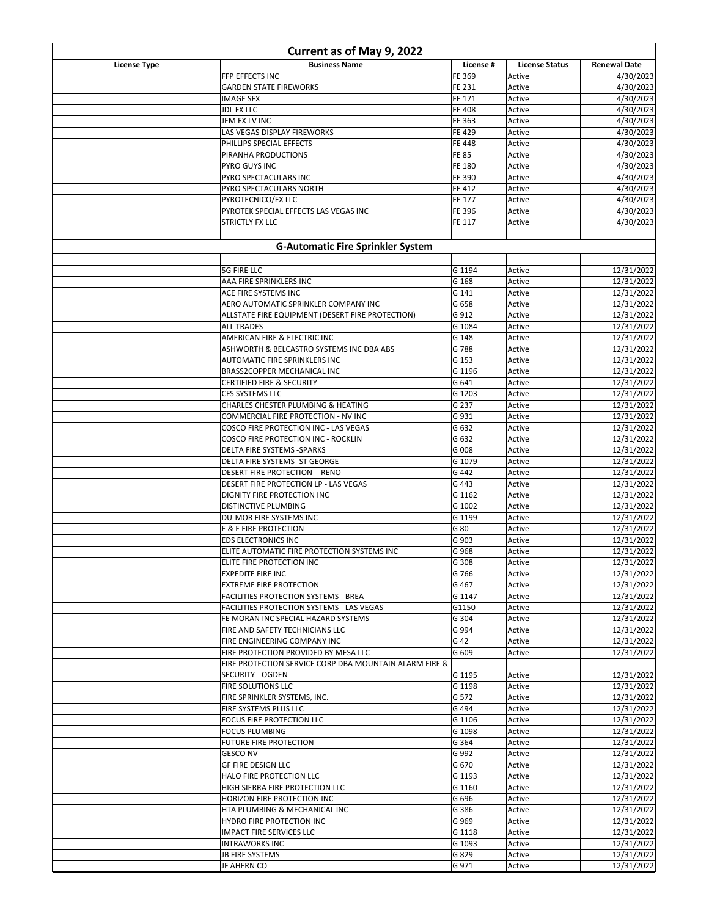| Current as of May 9, 2022 |                                                                               |                  |                       |                          |
|---------------------------|-------------------------------------------------------------------------------|------------------|-----------------------|--------------------------|
| <b>License Type</b>       | <b>Business Name</b>                                                          | License #        | <b>License Status</b> | <b>Renewal Date</b>      |
|                           | FFP EFFECTS INC                                                               | FE 369           | Active                | 4/30/2023                |
|                           | <b>GARDEN STATE FIREWORKS</b>                                                 | FE 231           | Active                | 4/30/2023                |
|                           | <b>IMAGE SFX</b>                                                              | FE 171           | Active                | 4/30/2023                |
|                           | <b>JDL FX LLC</b>                                                             | FE 408           | Active                | 4/30/2023                |
|                           | JEM FX LV INC                                                                 | FE 363           | Active                | 4/30/2023                |
|                           | LAS VEGAS DISPLAY FIREWORKS<br>PHILLIPS SPECIAL EFFECTS                       | FE 429<br>FE 448 | Active<br>Active      | 4/30/2023<br>4/30/2023   |
|                           | PIRANHA PRODUCTIONS                                                           | <b>FE 85</b>     | Active                | 4/30/2023                |
|                           | PYRO GUYS INC                                                                 | FE 180           | Active                | 4/30/2023                |
|                           | PYRO SPECTACULARS INC                                                         | FE 390           | Active                | 4/30/2023                |
|                           | PYRO SPECTACULARS NORTH                                                       | FE 412           | Active                | 4/30/2023                |
|                           | PYROTECNICO/FX LLC                                                            | FE 177           | Active                | 4/30/2023                |
|                           | PYROTEK SPECIAL EFFECTS LAS VEGAS INC                                         | FE 396           | Active                | 4/30/2023                |
|                           | <b>STRICTLY FX LLC</b>                                                        | FE 117           | Active                | 4/30/2023                |
|                           |                                                                               |                  |                       |                          |
|                           | <b>G-Automatic Fire Sprinkler System</b>                                      |                  |                       |                          |
|                           |                                                                               |                  |                       |                          |
|                           | <b>5G FIRE LLC</b>                                                            | G 1194           | Active                | 12/31/2022               |
|                           | AAA FIRE SPRINKLERS INC                                                       | G 168            | Active                | 12/31/2022               |
|                           | ACE FIRE SYSTEMS INC                                                          | G 141            | Active                | 12/31/2022               |
|                           | AERO AUTOMATIC SPRINKLER COMPANY INC                                          | G 658            | Active                | 12/31/2022               |
|                           | ALLSTATE FIRE EQUIPMENT (DESERT FIRE PROTECTION)                              | G 912            | Active                | 12/31/2022               |
|                           | <b>ALL TRADES</b>                                                             | G 1084           | Active                | 12/31/2022               |
|                           | AMERICAN FIRE & ELECTRIC INC<br>ASHWORTH & BELCASTRO SYSTEMS INC DBA ABS      | G 148            | Active                | 12/31/2022               |
|                           |                                                                               | G 788            | Active                | 12/31/2022               |
|                           | AUTOMATIC FIRE SPRINKLERS INC<br>BRASS2COPPER MECHANICAL INC                  | G 153<br>G 1196  | Active<br>Active      | 12/31/2022<br>12/31/2022 |
|                           | <b>CERTIFIED FIRE &amp; SECURITY</b>                                          | G 641            | Active                | 12/31/2022               |
|                           | CFS SYSTEMS LLC                                                               | G 1203           | Active                | 12/31/2022               |
|                           | CHARLES CHESTER PLUMBING & HEATING                                            | G 237            | Active                | 12/31/2022               |
|                           | COMMERCIAL FIRE PROTECTION - NV INC                                           | G 931            | Active                | 12/31/2022               |
|                           | COSCO FIRE PROTECTION INC - LAS VEGAS                                         | G 632            | Active                | 12/31/2022               |
|                           | COSCO FIRE PROTECTION INC - ROCKLIN                                           | G 632            | Active                | 12/31/2022               |
|                           | DELTA FIRE SYSTEMS -SPARKS                                                    | G 008            | Active                | 12/31/2022               |
|                           | DELTA FIRE SYSTEMS -ST GEORGE                                                 | G 1079           | Active                | 12/31/2022               |
|                           | <b>DESERT FIRE PROTECTION - RENO</b>                                          | G 442            | Active                | 12/31/2022               |
|                           | DESERT FIRE PROTECTION LP - LAS VEGAS                                         | G 443            | Active                | 12/31/2022               |
|                           | DIGNITY FIRE PROTECTION INC                                                   | G 1162           | Active                | 12/31/2022               |
|                           | DISTINCTIVE PLUMBING                                                          | G 1002           | Active                | 12/31/2022               |
|                           | DU-MOR FIRE SYSTEMS INC                                                       | G 1199           | Active                | 12/31/2022               |
|                           | <b>E &amp; E FIRE PROTECTION</b>                                              | G 80             | Active                | 12/31/2022               |
|                           | <b>EDS ELECTRONICS INC</b>                                                    | G 903            | Active                | 12/31/2022               |
|                           | ELITE AUTOMATIC FIRE PROTECTION SYSTEMS INC                                   | G 968            | Active                | 12/31/2022               |
|                           | ELITE FIRE PROTECTION INC                                                     | G 308            | Active                | 12/31/2022               |
|                           | <b>EXPEDITE FIRE INC</b>                                                      | G 766            | Active                | 12/31/2022               |
|                           | <b>EXTREME FIRE PROTECTION</b><br><b>FACILITIES PROTECTION SYSTEMS - BREA</b> | G 467            | Active                | 12/31/2022               |
|                           | <b>FACILITIES PROTECTION SYSTEMS - LAS VEGAS</b>                              | G 1147           | Active<br>Active      | 12/31/2022<br>12/31/2022 |
|                           | FE MORAN INC SPECIAL HAZARD SYSTEMS                                           | G1150<br>G 304   | Active                | 12/31/2022               |
|                           | FIRE AND SAFETY TECHNICIANS LLC                                               | G 994            | Active                | 12/31/2022               |
|                           | FIRE ENGINEERING COMPANY INC                                                  | G 42             | Active                | 12/31/2022               |
|                           | FIRE PROTECTION PROVIDED BY MESA LLC                                          | G 609            | Active                | 12/31/2022               |
|                           | FIRE PROTECTION SERVICE CORP DBA MOUNTAIN ALARM FIRE &                        |                  |                       |                          |
|                           | SECURITY - OGDEN                                                              | G 1195           | Active                | 12/31/2022               |
|                           | <b>FIRE SOLUTIONS LLC</b>                                                     | G 1198           | Active                | 12/31/2022               |
|                           | FIRE SPRINKLER SYSTEMS, INC.                                                  | G 572            | Active                | 12/31/2022               |
|                           | FIRE SYSTEMS PLUS LLC                                                         | G 494            | Active                | 12/31/2022               |
|                           | FOCUS FIRE PROTECTION LLC                                                     | G 1106           | Active                | 12/31/2022               |
|                           | <b>FOCUS PLUMBING</b>                                                         | G 1098           | Active                | 12/31/2022               |
|                           | <b>FUTURE FIRE PROTECTION</b>                                                 | G 364            | Active                | 12/31/2022               |
|                           | <b>GESCO NV</b>                                                               | G 992            | Active                | 12/31/2022               |
|                           | <b>GF FIRE DESIGN LLC</b>                                                     | G 670            | Active                | 12/31/2022               |
|                           | HALO FIRE PROTECTION LLC                                                      | G 1193           | Active                | 12/31/2022               |
|                           | HIGH SIERRA FIRE PROTECTION LLC                                               | G 1160           | Active                | 12/31/2022               |
|                           | <b>HORIZON FIRE PROTECTION INC</b>                                            | G 696            | Active                | 12/31/2022               |
|                           | HTA PLUMBING & MECHANICAL INC                                                 | G 386            | Active                | 12/31/2022               |
|                           | HYDRO FIRE PROTECTION INC                                                     | G 969            | Active                | 12/31/2022               |
|                           | <b>IMPACT FIRE SERVICES LLC</b>                                               | G 1118           | Active                | 12/31/2022               |
|                           | <b>INTRAWORKS INC</b>                                                         | G 1093           | Active                | 12/31/2022               |
|                           | JB FIRE SYSTEMS                                                               | G 829            | Active                | 12/31/2022               |
|                           | JF AHERN CO                                                                   | G 971            | Active                | 12/31/2022               |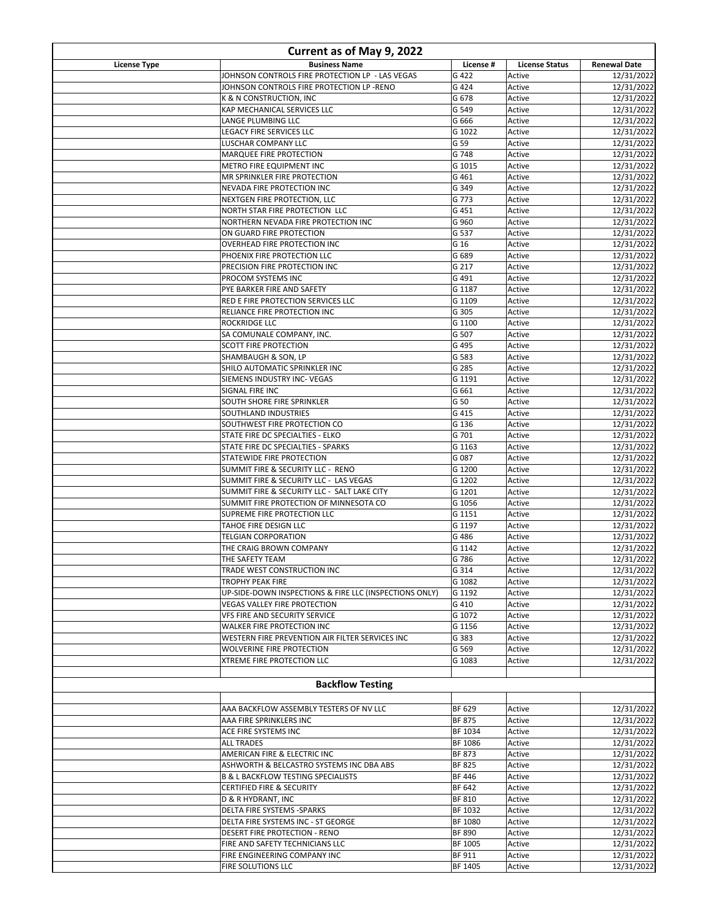| Current as of May 9, 2022 |                                                                                       |                                 |                       |                          |
|---------------------------|---------------------------------------------------------------------------------------|---------------------------------|-----------------------|--------------------------|
| <b>License Type</b>       | <b>Business Name</b>                                                                  | License #                       | <b>License Status</b> | <b>Renewal Date</b>      |
|                           | JOHNSON CONTROLS FIRE PROTECTION LP - LAS VEGAS                                       | G 422                           | Active                | 12/31/2022               |
|                           | JOHNSON CONTROLS FIRE PROTECTION LP -RENO<br>K & N CONSTRUCTION, INC                  | G 424<br>G 678                  | Active<br>Active      | 12/31/2022<br>12/31/2022 |
|                           | KAP MECHANICAL SERVICES LLC                                                           | G 549                           | Active                | 12/31/2022               |
|                           | LANGE PLUMBING LLC                                                                    | G 666                           | Active                | 12/31/2022               |
|                           | LEGACY FIRE SERVICES LLC                                                              | G 1022                          | Active                | 12/31/2022               |
|                           | LUSCHAR COMPANY LLC                                                                   | G 59                            | Active                | 12/31/2022               |
|                           | MARQUEE FIRE PROTECTION                                                               | G 748                           | Active                | 12/31/2022               |
|                           | METRO FIRE EQUIPMENT INC                                                              | G 1015                          | Active                | 12/31/2022               |
|                           | MR SPRINKLER FIRE PROTECTION<br>NEVADA FIRE PROTECTION INC                            | G 461<br>G 349                  | Active<br>Active      | 12/31/2022<br>12/31/2022 |
|                           | NEXTGEN FIRE PROTECTION, LLC                                                          | G 773                           | Active                | 12/31/2022               |
|                           | NORTH STAR FIRE PROTECTION LLC                                                        | G 451                           | Active                | 12/31/2022               |
|                           | NORTHERN NEVADA FIRE PROTECTION INC                                                   | G 960                           | Active                | 12/31/2022               |
|                           | ON GUARD FIRE PROTECTION                                                              | G 537                           | Active                | 12/31/2022               |
|                           | OVERHEAD FIRE PROTECTION INC                                                          | G 16                            | Active                | 12/31/2022               |
|                           | PHOENIX FIRE PROTECTION LLC                                                           | G 689                           | Active                | 12/31/2022               |
|                           | PRECISION FIRE PROTECTION INC                                                         | G 217                           | Active                | 12/31/2022               |
|                           | PROCOM SYSTEMS INC<br>PYE BARKER FIRE AND SAFETY                                      | G 491<br>G 1187                 | Active<br>Active      | 12/31/2022<br>12/31/2022 |
|                           | RED E FIRE PROTECTION SERVICES LLC                                                    | G 1109                          | Active                | 12/31/2022               |
|                           | <b>RELIANCE FIRE PROTECTION INC</b>                                                   | G 305                           | Active                | 12/31/2022               |
|                           | <b>ROCKRIDGE LLC</b>                                                                  | G 1100                          | Active                | 12/31/2022               |
|                           | SA COMUNALE COMPANY, INC.                                                             | G 507                           | Active                | 12/31/2022               |
|                           | SCOTT FIRE PROTECTION                                                                 | G 495                           | Active                | 12/31/2022               |
|                           | SHAMBAUGH & SON, LP                                                                   | G 583                           | Active                | 12/31/2022               |
|                           | SHILO AUTOMATIC SPRINKLER INC                                                         | G 285                           | Active                | 12/31/2022               |
|                           | SIEMENS INDUSTRY INC- VEGAS                                                           | G 1191                          | Active                | 12/31/2022               |
|                           | SIGNAL FIRE INC<br>SOUTH SHORE FIRE SPRINKLER                                         | G 661<br>G 50                   | Active<br>Active      | 12/31/2022<br>12/31/2022 |
|                           | SOUTHLAND INDUSTRIES                                                                  | G 415                           | Active                | 12/31/2022               |
|                           | SOUTHWEST FIRE PROTECTION CO                                                          | G 136                           | Active                | 12/31/2022               |
|                           | STATE FIRE DC SPECIALTIES - ELKO                                                      | G 701                           | Active                | 12/31/2022               |
|                           | STATE FIRE DC SPECIALTIES - SPARKS                                                    | G 1163                          | Active                | 12/31/2022               |
|                           | STATEWIDE FIRE PROTECTION                                                             | G 087                           | Active                | 12/31/2022               |
|                           | SUMMIT FIRE & SECURITY LLC - RENO                                                     | G 1200                          | Active                | 12/31/2022               |
|                           | SUMMIT FIRE & SECURITY LLC - LAS VEGAS<br>SUMMIT FIRE & SECURITY LLC - SALT LAKE CITY | G 1202<br>G 1201                | Active<br>Active      | 12/31/2022<br>12/31/2022 |
|                           | SUMMIT FIRE PROTECTION OF MINNESOTA CO                                                | G 1056                          | Active                | 12/31/2022               |
|                           | SUPREME FIRE PROTECTION LLC                                                           | G 1151                          | Active                | 12/31/2022               |
|                           | TAHOE FIRE DESIGN LLC                                                                 | G 1197                          | Active                | 12/31/2022               |
|                           | <b>TELGIAN CORPORATION</b>                                                            | G 486                           | Active                | 12/31/2022               |
|                           | THE CRAIG BROWN COMPANY                                                               | G 1142                          | Active                | 12/31/2022               |
|                           | THE SAFETY TEAM                                                                       | G 786                           | Active                | 12/31/2022               |
|                           | TRADE WEST CONSTRUCTION INC                                                           | G 314                           | Active                | 12/31/2022               |
|                           | <b>TROPHY PEAK FIRE</b><br>UP-SIDE-DOWN INSPECTIONS & FIRE LLC (INSPECTIONS ONLY)     | G 1082<br>G 1192                | Active<br>Active      | 12/31/2022<br>12/31/2022 |
|                           | VEGAS VALLEY FIRE PROTECTION                                                          | G 410                           | Active                | 12/31/2022               |
|                           | VFS FIRE AND SECURITY SERVICE                                                         | G 1072                          | Active                | 12/31/2022               |
|                           | WALKER FIRE PROTECTION INC                                                            | G 1156                          | Active                | 12/31/2022               |
|                           | WESTERN FIRE PREVENTION AIR FILTER SERVICES INC                                       | G 383                           | Active                | 12/31/2022               |
|                           | WOLVERINE FIRE PROTECTION                                                             | G 569                           | Active                | 12/31/2022               |
|                           | XTREME FIRE PROTECTION LLC                                                            | G 1083                          | Active                | 12/31/2022               |
|                           |                                                                                       |                                 |                       |                          |
|                           | <b>Backflow Testing</b>                                                               |                                 |                       |                          |
|                           |                                                                                       |                                 |                       |                          |
|                           | AAA BACKFLOW ASSEMBLY TESTERS OF NV LLC                                               | BF 629<br>BF 875                | Active                | 12/31/2022<br>12/31/2022 |
|                           | AAA FIRE SPRINKLERS INC<br>ACE FIRE SYSTEMS INC                                       | BF 1034                         | Active<br>Active      | 12/31/2022               |
|                           | <b>ALL TRADES</b>                                                                     | <b>BF 1086</b>                  | Active                | 12/31/2022               |
|                           | AMERICAN FIRE & ELECTRIC INC                                                          | <b>BF 873</b>                   | Active                | 12/31/2022               |
|                           | ASHWORTH & BELCASTRO SYSTEMS INC DBA ABS                                              | BF 825                          | Active                | 12/31/2022               |
|                           | <b>B &amp; L BACKFLOW TESTING SPECIALISTS</b>                                         | <b>BF446</b>                    | Active                | 12/31/2022               |
|                           | CERTIFIED FIRE & SECURITY                                                             | BF 642                          | Active                | 12/31/2022               |
|                           | D & R HYDRANT, INC                                                                    | <b>BF 810</b>                   | Active                | 12/31/2022               |
|                           | DELTA FIRE SYSTEMS -SPARKS                                                            | BF 1032                         | Active                | 12/31/2022               |
|                           | DELTA FIRE SYSTEMS INC - ST GEORGE<br>DESERT FIRE PROTECTION - RENO                   | <b>BF 1080</b><br><b>BF 890</b> | Active<br>Active      | 12/31/2022               |
|                           | FIRE AND SAFETY TECHNICIANS LLC                                                       | BF 1005                         | Active                | 12/31/2022<br>12/31/2022 |
|                           | FIRE ENGINEERING COMPANY INC                                                          | BF 911                          | Active                | 12/31/2022               |
|                           | FIRE SOLUTIONS LLC                                                                    | BF 1405                         | Active                | 12/31/2022               |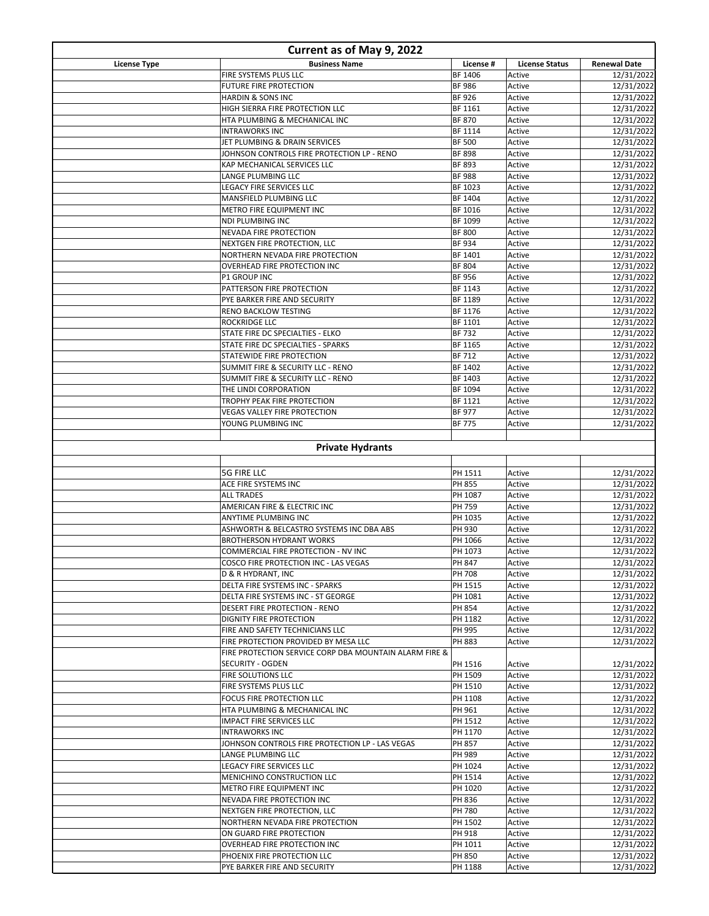| Current as of May 9, 2022 |                                                                            |                               |                       |                          |
|---------------------------|----------------------------------------------------------------------------|-------------------------------|-----------------------|--------------------------|
| <b>License Type</b>       | <b>Business Name</b>                                                       | License #                     | <b>License Status</b> | <b>Renewal Date</b>      |
|                           | FIRE SYSTEMS PLUS LLC                                                      | BF 1406                       | Active                | 12/31/2022               |
|                           | <b>FUTURE FIRE PROTECTION</b><br><b>HARDIN &amp; SONS INC</b>              | <b>BF986</b><br><b>BF926</b>  | Active<br>Active      | 12/31/2022<br>12/31/2022 |
|                           | HIGH SIERRA FIRE PROTECTION LLC                                            | BF 1161                       | Active                | 12/31/2022               |
|                           | HTA PLUMBING & MECHANICAL INC                                              | <b>BF 870</b>                 | Active                | 12/31/2022               |
|                           | <b>INTRAWORKS INC</b>                                                      | BF 1114                       | Active                | 12/31/2022               |
|                           | JET PLUMBING & DRAIN SERVICES                                              | <b>BF 500</b>                 | Active                | 12/31/2022               |
|                           | JOHNSON CONTROLS FIRE PROTECTION LP - RENO                                 | <b>BF 898</b>                 | Active                | 12/31/2022               |
|                           | KAP MECHANICAL SERVICES LLC                                                | BF 893                        | Active                | 12/31/2022               |
|                           | <b>LANGE PLUMBING LLC</b><br>LEGACY FIRE SERVICES LLC                      | <b>BF988</b><br>BF 1023       | Active<br>Active      | 12/31/2022<br>12/31/2022 |
|                           | MANSFIELD PLUMBING LLC                                                     | BF 1404                       | Active                | 12/31/2022               |
|                           | <b>METRO FIRE EQUIPMENT INC</b>                                            | BF 1016                       | Active                | 12/31/2022               |
|                           | <b>NDI PLUMBING INC</b>                                                    | BF 1099                       | Active                | 12/31/2022               |
|                           | <b>NEVADA FIRE PROTECTION</b>                                              | <b>BF 800</b>                 | Active                | 12/31/2022               |
|                           | NEXTGEN FIRE PROTECTION, LLC                                               | BF 934                        | Active                | 12/31/2022               |
|                           | NORTHERN NEVADA FIRE PROTECTION                                            | BF 1401                       | Active                | 12/31/2022               |
|                           | <b>OVERHEAD FIRE PROTECTION INC</b><br><b>P1 GROUP INC</b>                 | <b>BF 804</b><br><b>BF956</b> | Active<br>Active      | 12/31/2022<br>12/31/2022 |
|                           | PATTERSON FIRE PROTECTION                                                  | BF 1143                       | Active                | 12/31/2022               |
|                           | PYE BARKER FIRE AND SECURITY                                               | BF 1189                       | Active                | 12/31/2022               |
|                           | RENO BACKLOW TESTING                                                       | BF 1176                       | Active                | 12/31/2022               |
|                           | <b>ROCKRIDGE LLC</b>                                                       | BF 1101                       | Active                | 12/31/2022               |
|                           | STATE FIRE DC SPECIALTIES - ELKO                                           | BF 732                        | Active                | 12/31/2022               |
|                           | STATE FIRE DC SPECIALTIES - SPARKS                                         | BF 1165                       | Active                | 12/31/2022               |
|                           | STATEWIDE FIRE PROTECTION                                                  | <b>BF712</b>                  | Active                | 12/31/2022               |
|                           | SUMMIT FIRE & SECURITY LLC - RENO<br>SUMMIT FIRE & SECURITY LLC - RENO     | BF 1402<br>BF 1403            | Active<br>Active      | 12/31/2022<br>12/31/2022 |
|                           | THE LINDI CORPORATION                                                      | BF 1094                       | Active                | 12/31/2022               |
|                           | TROPHY PEAK FIRE PROTECTION                                                | BF 1121                       | Active                | 12/31/2022               |
|                           | <b>VEGAS VALLEY FIRE PROTECTION</b>                                        | <b>BF 977</b>                 | Active                | 12/31/2022               |
|                           | YOUNG PLUMBING INC                                                         | <b>BF 775</b>                 | Active                | 12/31/2022               |
|                           | <b>Private Hydrants</b>                                                    |                               |                       |                          |
|                           | <b>5G FIRE LLC</b>                                                         | PH 1511                       | Active                | 12/31/2022               |
|                           | ACE FIRE SYSTEMS INC<br><b>ALL TRADES</b>                                  | PH 855<br>PH 1087             | Active<br>Active      | 12/31/2022<br>12/31/2022 |
|                           | AMERICAN FIRE & ELECTRIC INC                                               | PH 759                        | Active                | 12/31/2022               |
|                           | ANYTIME PLUMBING INC                                                       | PH 1035                       | Active                | 12/31/2022               |
|                           | ASHWORTH & BELCASTRO SYSTEMS INC DBA ABS                                   | PH 930                        | Active                | 12/31/2022               |
|                           | <b>BROTHERSON HYDRANT WORKS</b>                                            | PH 1066                       | Active                | 12/31/2022               |
|                           | COMMERCIAL FIRE PROTECTION - NV INC                                        | PH 1073                       | Active                | 12/31/2022               |
|                           | COSCO FIRE PROTECTION INC - LAS VEGAS                                      | PH 847<br>PH 708              | Active<br>Active      | 12/31/2022<br>12/31/2022 |
|                           | D & R HYDRANT, INC<br>DELTA FIRE SYSTEMS INC - SPARKS                      | PH 1515                       | Active                | 12/31/2022               |
|                           | DELTA FIRE SYSTEMS INC - ST GEORGE                                         | PH 1081                       | Active                | 12/31/2022               |
|                           | DESERT FIRE PROTECTION - RENO                                              | PH 854                        | Active                | 12/31/2022               |
|                           | <b>DIGNITY FIRE PROTECTION</b>                                             | PH 1182                       | Active                | 12/31/2022               |
|                           | FIRE AND SAFETY TECHNICIANS LLC                                            | PH 995                        | Active                | 12/31/2022               |
|                           | FIRE PROTECTION PROVIDED BY MESA LLC                                       | PH 883                        | Active                | 12/31/2022               |
|                           | FIRE PROTECTION SERVICE CORP DBA MOUNTAIN ALARM FIRE &<br>SECURITY - OGDEN | PH 1516                       | Active                | 12/31/2022               |
|                           | <b>FIRE SOLUTIONS LLC</b>                                                  | PH 1509                       | Active                | 12/31/2022               |
|                           | <b>FIRE SYSTEMS PLUS LLC</b>                                               | PH 1510                       | Active                | 12/31/2022               |
|                           | FOCUS FIRE PROTECTION LLC<br>HTA PLUMBING & MECHANICAL INC                 | PH 1108<br>PH 961             | Active<br>Active      | 12/31/2022<br>12/31/2022 |
|                           | <b>IMPACT FIRE SERVICES LLC</b>                                            | PH 1512                       | Active                | 12/31/2022               |
|                           | <b>INTRAWORKS INC</b>                                                      | PH 1170                       | Active                | 12/31/2022               |
|                           | JOHNSON CONTROLS FIRE PROTECTION LP - LAS VEGAS                            | PH 857                        | Active                | 12/31/2022               |
|                           | LANGE PLUMBING LLC                                                         | PH 989                        | Active                | 12/31/2022               |
|                           | LEGACY FIRE SERVICES LLC                                                   | PH 1024                       | Active                | 12/31/2022               |
|                           | MENICHINO CONSTRUCTION LLC                                                 | PH 1514                       | Active                | 12/31/2022               |
|                           | <b>METRO FIRE EQUIPMENT INC</b><br>NEVADA FIRE PROTECTION INC              | PH 1020<br>PH 836             | Active<br>Active      | 12/31/2022<br>12/31/2022 |
|                           | NEXTGEN FIRE PROTECTION, LLC                                               | PH 780                        | Active                | 12/31/2022               |
|                           | NORTHERN NEVADA FIRE PROTECTION                                            | PH 1502                       | Active                | 12/31/2022               |
|                           | ON GUARD FIRE PROTECTION                                                   | PH 918                        | Active                | 12/31/2022               |
|                           | OVERHEAD FIRE PROTECTION INC                                               | PH 1011                       | Active                | 12/31/2022               |
|                           | PHOENIX FIRE PROTECTION LLC                                                | PH 850                        | Active                | 12/31/2022               |
|                           | PYE BARKER FIRE AND SECURITY                                               | PH 1188                       | Active                | 12/31/2022               |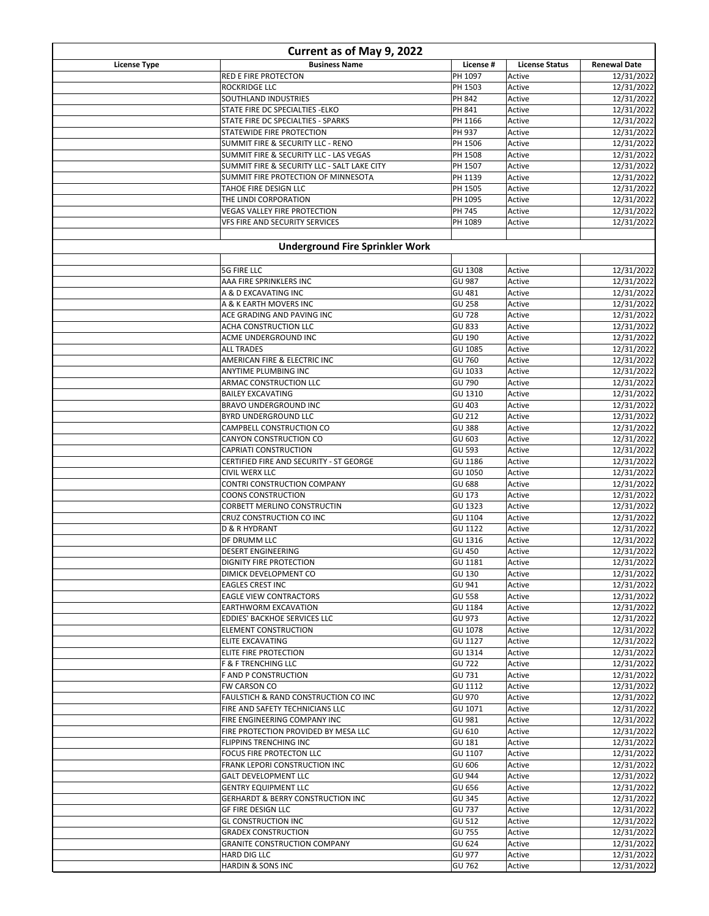| Current as of May 9, 2022 |                                                                         |                                |                       |                          |
|---------------------------|-------------------------------------------------------------------------|--------------------------------|-----------------------|--------------------------|
| <b>License Type</b>       | <b>Business Name</b>                                                    | License #                      | <b>License Status</b> | <b>Renewal Date</b>      |
|                           | RED E FIRE PROTECTON                                                    | PH 1097                        | Active                | 12/31/2022               |
|                           | <b>ROCKRIDGE LLC</b>                                                    | PH 1503                        | Active                | 12/31/2022               |
|                           | SOUTHLAND INDUSTRIES                                                    | PH 842                         | Active                | 12/31/2022               |
|                           | STATE FIRE DC SPECIALTIES - ELKO                                        | PH 841<br>PH 1166              | Active<br>Active      | 12/31/2022<br>12/31/2022 |
|                           | STATE FIRE DC SPECIALTIES - SPARKS<br>STATEWIDE FIRE PROTECTION         | PH 937                         | Active                | 12/31/2022               |
|                           | SUMMIT FIRE & SECURITY LLC - RENO                                       | PH 1506                        | Active                | 12/31/2022               |
|                           | SUMMIT FIRE & SECURITY LLC - LAS VEGAS                                  | PH 1508                        | Active                | 12/31/2022               |
|                           | SUMMIT FIRE & SECURITY LLC - SALT LAKE CITY                             | PH 1507                        | Active                | 12/31/2022               |
|                           | SUMMIT FIRE PROTECTION OF MINNESOTA                                     | PH 1139                        | Active                | 12/31/2022               |
|                           | TAHOE FIRE DESIGN LLC                                                   | PH 1505                        | Active                | 12/31/2022               |
|                           | THE LINDI CORPORATION                                                   | PH 1095                        | Active                | 12/31/2022               |
|                           | <b>VEGAS VALLEY FIRE PROTECTION</b>                                     | PH 745                         | Active                | 12/31/2022               |
|                           | VFS FIRE AND SECURITY SERVICES                                          | PH 1089                        | Active                | 12/31/2022               |
|                           | <b>Underground Fire Sprinkler Work</b>                                  |                                |                       |                          |
|                           |                                                                         |                                |                       |                          |
|                           | <b>5G FIRE LLC</b>                                                      | GU 1308                        | Active                | 12/31/2022               |
|                           | AAA FIRE SPRINKLERS INC                                                 | GU 987                         | Active                | 12/31/2022               |
|                           | A & D EXCAVATING INC                                                    | GU 481                         | Active                | 12/31/2022               |
|                           | A & K EARTH MOVERS INC<br>ACE GRADING AND PAVING INC                    | <b>GU 258</b><br><b>GU 728</b> | Active<br>Active      | 12/31/2022<br>12/31/2022 |
|                           | ACHA CONSTRUCTION LLC                                                   | <b>GU 833</b>                  | Active                | 12/31/2022               |
|                           | ACME UNDERGROUND INC                                                    | GU 190                         | Active                | 12/31/2022               |
|                           | <b>ALL TRADES</b>                                                       | GU 1085                        | Active                | 12/31/2022               |
|                           | AMERICAN FIRE & ELECTRIC INC                                            | GU 760                         | Active                | 12/31/2022               |
|                           | ANYTIME PLUMBING INC                                                    | GU 1033                        | Active                | 12/31/2022               |
|                           | ARMAC CONSTRUCTION LLC                                                  | GU 790                         | Active                | 12/31/2022               |
|                           | <b>BAILEY EXCAVATING</b>                                                | GU 1310                        | Active                | 12/31/2022               |
|                           | <b>BRAVO UNDERGROUND INC</b>                                            | GU 403                         | Active                | 12/31/2022               |
|                           | BYRD UNDERGROUND LLC                                                    | GU 212                         | Active                | 12/31/2022               |
|                           | CAMPBELL CONSTRUCTION CO                                                | GU 388                         | Active                | 12/31/2022               |
|                           | CANYON CONSTRUCTION CO                                                  | GU 603                         | Active                | 12/31/2022               |
|                           | <b>CAPRIATI CONSTRUCTION</b><br>CERTIFIED FIRE AND SECURITY - ST GEORGE | GU 593<br>GU 1186              | Active<br>Active      | 12/31/2022<br>12/31/2022 |
|                           | <b>CIVIL WERX LLC</b>                                                   | GU 1050                        | Active                | 12/31/2022               |
|                           | CONTRI CONSTRUCTION COMPANY                                             | GU 688                         | Active                | 12/31/2022               |
|                           | <b>COONS CONSTRUCTION</b>                                               | GU 173                         | Active                | 12/31/2022               |
|                           | <b>CORBETT MERLINO CONSTRUCTIN</b>                                      | GU 1323                        | Active                | 12/31/2022               |
|                           | CRUZ CONSTRUCTION CO INC                                                | GU 1104                        | Active                | 12/31/2022               |
|                           | D & R HYDRANT                                                           | GU 1122                        | Active                | 12/31/2022               |
|                           | DF DRUMM LLC                                                            | GU 1316                        | Active                | 12/31/2022               |
|                           | <b>DESERT ENGINEERING</b>                                               | GU 450                         | Active                | 12/31/2022               |
|                           | DIGNITY FIRE PROTECTION                                                 | GU 1181                        | Active                | 12/31/2022               |
|                           | DIMICK DEVELOPMENT CO<br><b>EAGLES CREST INC</b>                        | GU 130<br>GU 941               | Active<br>Active      | 12/31/2022<br>12/31/2022 |
|                           | <b>EAGLE VIEW CONTRACTORS</b>                                           | <b>GU 558</b>                  | Active                | 12/31/2022               |
|                           | <b>EARTHWORM EXCAVATION</b>                                             | GU 1184                        | Active                | 12/31/2022               |
|                           | EDDIES' BACKHOE SERVICES LLC                                            | GU 973                         | Active                | 12/31/2022               |
|                           | <b>ELEMENT CONSTRUCTION</b>                                             | GU 1078                        | Active                | 12/31/2022               |
|                           | <b>ELITE EXCAVATING</b>                                                 | GU 1127                        | Active                | 12/31/2022               |
|                           | <b>ELITE FIRE PROTECTION</b>                                            | GU 1314                        | Active                | 12/31/2022               |
|                           | <b>F &amp; F TRENCHING LLC</b>                                          | GU 722                         | Active                | 12/31/2022               |
|                           | <b>F AND P CONSTRUCTION</b>                                             | GU 731                         | Active                | 12/31/2022               |
|                           | <b>FW CARSON CO</b>                                                     | GU 1112                        | Active                | 12/31/2022               |
|                           | <b>FAULSTICH &amp; RAND CONSTRUCTION CO INC</b>                         | GU 970                         | Active                | 12/31/2022               |
|                           | FIRE AND SAFETY TECHNICIANS LLC                                         | GU 1071                        | Active                | 12/31/2022               |
|                           | FIRE ENGINEERING COMPANY INC<br>FIRE PROTECTION PROVIDED BY MESA LLC    | GU 981<br>GU 610               | Active<br>Active      | 12/31/2022<br>12/31/2022 |
|                           | <b>FLIPPINS TRENCHING INC</b>                                           | GU 181                         | Active                | 12/31/2022               |
|                           | <b>FOCUS FIRE PROTECTON LLC</b>                                         | GU 1107                        | Active                | 12/31/2022               |
|                           | FRANK LEPORI CONSTRUCTION INC                                           | GU 606                         | Active                | 12/31/2022               |
|                           | <b>GALT DEVELOPMENT LLC</b>                                             | GU 944                         | Active                | 12/31/2022               |
|                           | <b>GENTRY EQUIPMENT LLC</b>                                             | GU 656                         | Active                | 12/31/2022               |
|                           | <b>GERHARDT &amp; BERRY CONSTRUCTION INC</b>                            | <b>GU 345</b>                  | Active                | 12/31/2022               |
|                           | <b>GF FIRE DESIGN LLC</b>                                               | GU 737                         | Active                | 12/31/2022               |
|                           | <b>GL CONSTRUCTION INC</b>                                              | GU 512                         | Active                | 12/31/2022               |
|                           | <b>GRADEX CONSTRUCTION</b>                                              | GU 755                         | Active                | 12/31/2022               |
|                           | <b>GRANITE CONSTRUCTION COMPANY</b>                                     | GU 624                         | Active                | 12/31/2022               |
|                           | <b>HARD DIG LLC</b>                                                     | GU 977                         | Active                | 12/31/2022               |
|                           | <b>HARDIN &amp; SONS INC</b>                                            | GU 762                         | Active                | 12/31/2022               |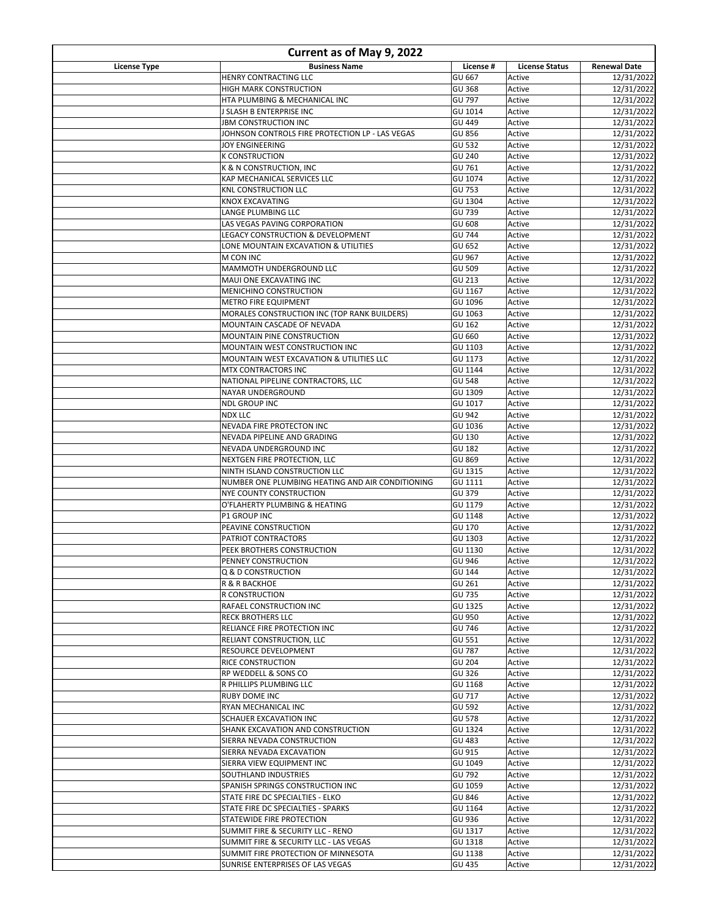| Current as of May 9, 2022 |                                                                             |                          |                       |                          |
|---------------------------|-----------------------------------------------------------------------------|--------------------------|-----------------------|--------------------------|
| License Type              | <b>Business Name</b>                                                        | License #                | <b>License Status</b> | <b>Renewal Date</b>      |
|                           | HENRY CONTRACTING LLC                                                       | GU 667                   | Active                | 12/31/2022               |
|                           | HIGH MARK CONSTRUCTION<br>HTA PLUMBING & MECHANICAL INC                     | <b>GU 368</b><br>GU 797  | Active<br>Active      | 12/31/2022<br>12/31/2022 |
|                           | J SLASH B ENTERPRISE INC                                                    | GU 1014                  | Active                | 12/31/2022               |
|                           | <b>JBM CONSTRUCTION INC</b>                                                 | GU 449                   | Active                | 12/31/2022               |
|                           | JOHNSON CONTROLS FIRE PROTECTION LP - LAS VEGAS                             | <b>GU 856</b>            | Active                | 12/31/2022               |
|                           | <b>JOY ENGINEERING</b>                                                      | GU 532                   | Active                | 12/31/2022               |
|                           | <b>K CONSTRUCTION</b>                                                       | GU 240                   | Active                | 12/31/2022               |
|                           | K & N CONSTRUCTION, INC                                                     | GU 761                   | Active                | 12/31/2022               |
|                           | KAP MECHANICAL SERVICES LLC<br><b>KNL CONSTRUCTION LLC</b>                  | GU 1074<br>GU 753        | Active<br>Active      | 12/31/2022<br>12/31/2022 |
|                           | KNOX EXCAVATING                                                             | GU 1304                  | Active                | 12/31/2022               |
|                           | LANGE PLUMBING LLC                                                          | GU 739                   | Active                | 12/31/2022               |
|                           | LAS VEGAS PAVING CORPORATION                                                | GU 608                   | Active                | 12/31/2022               |
|                           | LEGACY CONSTRUCTION & DEVELOPMENT                                           | <b>GU 744</b>            | Active                | 12/31/2022               |
|                           | LONE MOUNTAIN EXCAVATION & UTILITIES                                        | GU 652                   | Active                | 12/31/2022               |
|                           | M CON INC                                                                   | GU 967                   | Active                | 12/31/2022               |
|                           | MAMMOTH UNDERGROUND LLC<br>MAUI ONE EXCAVATING INC                          | GU 509<br>GU 213         | Active<br>Active      | 12/31/2022<br>12/31/2022 |
|                           | MENICHINO CONSTRUCTION                                                      | GU 1167                  | Active                | 12/31/2022               |
|                           | <b>METRO FIRE EQUIPMENT</b>                                                 | GU 1096                  | Active                | 12/31/2022               |
|                           | MORALES CONSTRUCTION INC (TOP RANK BUILDERS)                                | GU 1063                  | Active                | 12/31/2022               |
|                           | MOUNTAIN CASCADE OF NEVADA                                                  | GU 162                   | Active                | 12/31/2022               |
|                           | MOUNTAIN PINE CONSTRUCTION                                                  | GU 660                   | Active                | 12/31/2022               |
|                           | MOUNTAIN WEST CONSTRUCTION INC                                              | GU 1103                  | Active                | 12/31/2022               |
|                           | MOUNTAIN WEST EXCAVATION & UTILITIES LLC                                    | GU 1173                  | Active                | 12/31/2022               |
|                           | MTX CONTRACTORS INC<br>NATIONAL PIPELINE CONTRACTORS, LLC                   | GU 1144<br><b>GU 548</b> | Active<br>Active      | 12/31/2022<br>12/31/2022 |
|                           | <b>NAYAR UNDERGROUND</b>                                                    | GU 1309                  | Active                | 12/31/2022               |
|                           | <b>NDL GROUP INC</b>                                                        | GU 1017                  | Active                | 12/31/2022               |
|                           | <b>NDX LLC</b>                                                              | GU 942                   | Active                | 12/31/2022               |
|                           | NEVADA FIRE PROTECTON INC                                                   | GU 1036                  | Active                | 12/31/2022               |
|                           | NEVADA PIPELINE AND GRADING                                                 | GU 130                   | Active                | 12/31/2022               |
|                           | NEVADA UNDERGROUND INC                                                      | GU 182                   | Active                | 12/31/2022               |
|                           | NEXTGEN FIRE PROTECTION, LLC<br>NINTH ISLAND CONSTRUCTION LLC               | GU 869<br>GU 1315        | Active<br>Active      | 12/31/2022<br>12/31/2022 |
|                           | NUMBER ONE PLUMBING HEATING AND AIR CONDITIONING                            | GU 1111                  | Active                | 12/31/2022               |
|                           | <b>NYE COUNTY CONSTRUCTION</b>                                              | GU 379                   | Active                | 12/31/2022               |
|                           | O'FLAHERTY PLUMBING & HEATING                                               | GU 1179                  | Active                | 12/31/2022               |
|                           | <b>P1 GROUP INC</b>                                                         | GU 1148                  | Active                | 12/31/2022               |
|                           | PEAVINE CONSTRUCTION                                                        | GU 170                   | Active                | 12/31/2022               |
|                           | PATRIOT CONTRACTORS                                                         | GU 1303                  | Active                | 12/31/2022               |
|                           | PEEK BROTHERS CONSTRUCTION<br>PENNEY CONSTRUCTION                           | GU 1130<br>GU 946        | Active<br>Active      | 12/31/2022<br>12/31/2022 |
|                           | Q & D CONSTRUCTION                                                          | GU 144                   | Active                | 12/31/2022               |
|                           | R & R BACKHOE                                                               | GU 261                   | Active                | 12/31/2022               |
|                           | R CONSTRUCTION                                                              | GU 735                   | Active                | 12/31/2022               |
|                           | RAFAEL CONSTRUCTION INC                                                     | GU 1325                  | Active                | 12/31/2022               |
|                           | <b>RECK BROTHERS LLC</b>                                                    | GU 950                   | Active                | 12/31/2022               |
|                           | RELIANCE FIRE PROTECTION INC                                                | GU 746                   | Active                | 12/31/2022               |
|                           | RELIANT CONSTRUCTION. LLC<br><b>RESOURCE DEVELOPMENT</b>                    | GU 551<br>GU 787         | Active<br>Active      | 12/31/2022<br>12/31/2022 |
|                           | RICE CONSTRUCTION                                                           | GU 204                   | Active                | 12/31/2022               |
|                           | RP WEDDELL & SONS CO                                                        | GU 326                   | Active                | 12/31/2022               |
|                           | R PHILLIPS PLUMBING LLC                                                     | GU 1168                  | Active                | 12/31/2022               |
|                           | <b>RUBY DOME INC</b>                                                        | GU 717                   | Active                | 12/31/2022               |
|                           | <b>RYAN MECHANICAL INC</b>                                                  | GU 592                   | Active                | 12/31/2022               |
|                           | <b>SCHAUER EXCAVATION INC</b>                                               | <b>GU 578</b>            | Active                | 12/31/2022               |
|                           | SHANK EXCAVATION AND CONSTRUCTION<br>SIERRA NEVADA CONSTRUCTION             | GU 1324<br>GU 483        | Active<br>Active      | 12/31/2022<br>12/31/2022 |
|                           | SIERRA NEVADA EXCAVATION                                                    | GU 915                   | Active                | 12/31/2022               |
|                           | SIERRA VIEW EQUIPMENT INC                                                   | GU 1049                  | Active                | 12/31/2022               |
|                           | SOUTHLAND INDUSTRIES                                                        | GU 792                   | Active                | 12/31/2022               |
|                           | SPANISH SPRINGS CONSTRUCTION INC                                            | GU 1059                  | Active                | 12/31/2022               |
|                           | STATE FIRE DC SPECIALTIES - ELKO                                            | <b>GU 846</b>            | Active                | 12/31/2022               |
|                           | STATE FIRE DC SPECIALTIES - SPARKS                                          | GU 1164                  | Active                | 12/31/2022               |
|                           | STATEWIDE FIRE PROTECTION                                                   | GU 936                   | Active                | 12/31/2022               |
|                           | SUMMIT FIRE & SECURITY LLC - RENO<br>SUMMIT FIRE & SECURITY LLC - LAS VEGAS | GU 1317<br>GU 1318       | Active<br>Active      | 12/31/2022<br>12/31/2022 |
|                           | SUMMIT FIRE PROTECTION OF MINNESOTA                                         | GU 1138                  | Active                | 12/31/2022               |
|                           | SUNRISE ENTERPRISES OF LAS VEGAS                                            | GU 435                   | Active                | 12/31/2022               |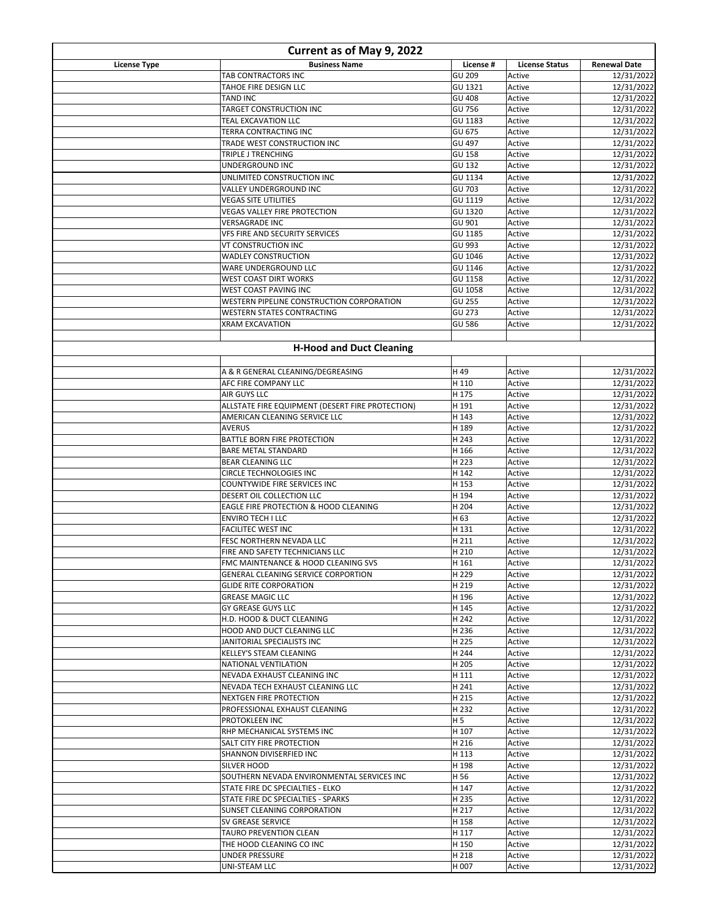| Current as of May 9, 2022 |                                                                            |                   |                       |                          |
|---------------------------|----------------------------------------------------------------------------|-------------------|-----------------------|--------------------------|
| <b>License Type</b>       | <b>Business Name</b>                                                       | License #         | <b>License Status</b> | <b>Renewal Date</b>      |
|                           | TAB CONTRACTORS INC                                                        | GU 209            | Active                | 12/31/2022               |
|                           | TAHOE FIRE DESIGN LLC                                                      | GU 1321           | Active                | 12/31/2022               |
|                           | <b>TAND INC</b><br>TARGET CONSTRUCTION INC                                 | GU 408<br>GU 756  | Active<br>Active      | 12/31/2022<br>12/31/2022 |
|                           | <b>TEAL EXCAVATION LLC</b>                                                 | GU 1183           | Active                | 12/31/2022               |
|                           | TERRA CONTRACTING INC                                                      | GU 675            | Active                | 12/31/2022               |
|                           | TRADE WEST CONSTRUCTION INC                                                | GU 497            | Active                | 12/31/2022               |
|                           | TRIPLE J TRENCHING                                                         | <b>GU 158</b>     | Active                | 12/31/2022               |
|                           | UNDERGROUND INC                                                            | GU 132            | Active                | 12/31/2022               |
|                           | UNLIMITED CONSTRUCTION INC                                                 | GU 1134           | Active                | 12/31/2022               |
|                           | VALLEY UNDERGROUND INC<br><b>VEGAS SITE UTILITIES</b>                      | GU 703<br>GU 1119 | Active<br>Active      | 12/31/2022<br>12/31/2022 |
|                           | VEGAS VALLEY FIRE PROTECTION                                               | GU 1320           | Active                | 12/31/2022               |
|                           | <b>VERSAGRADE INC</b>                                                      | GU 901            | Active                | 12/31/2022               |
|                           | VFS FIRE AND SECURITY SERVICES                                             | GU 1185           | Active                | 12/31/2022               |
|                           | VT CONSTRUCTION INC                                                        | GU 993            | Active                | 12/31/2022               |
|                           | <b>WADLEY CONSTRUCTION</b>                                                 | GU 1046           | Active                | 12/31/2022               |
|                           | WARE UNDERGROUND LLC                                                       | GU 1146           | Active                | 12/31/2022               |
|                           | <b>WEST COAST DIRT WORKS</b>                                               | GU 1158           | Active                | 12/31/2022               |
|                           | WEST COAST PAVING INC<br>WESTERN PIPELINE CONSTRUCTION CORPORATION         | GU 1058           | Active<br>Active      | 12/31/2022               |
|                           | <b>WESTERN STATES CONTRACTING</b>                                          | GU 255<br>GU 273  | Active                | 12/31/2022<br>12/31/2022 |
|                           | <b>XRAM EXCAVATION</b>                                                     | <b>GU 586</b>     | Active                | 12/31/2022               |
|                           |                                                                            |                   |                       |                          |
|                           | <b>H-Hood and Duct Cleaning</b>                                            |                   |                       |                          |
|                           |                                                                            |                   |                       |                          |
|                           | A & R GENERAL CLEANING/DEGREASING<br>AFC FIRE COMPANY LLC                  | H 49<br>H 110     | Active<br>Active      | 12/31/2022<br>12/31/2022 |
|                           | AIR GUYS LLC                                                               | H 175             | Active                | 12/31/2022               |
|                           | ALLSTATE FIRE EQUIPMENT (DESERT FIRE PROTECTION)                           | H 191             | Active                | 12/31/2022               |
|                           | AMERICAN CLEANING SERVICE LLC                                              | H 143             | Active                | 12/31/2022               |
|                           | <b>AVERUS</b>                                                              | H 189             | Active                | 12/31/2022               |
|                           | <b>BATTLE BORN FIRE PROTECTION</b>                                         | H 243             | Active                | 12/31/2022               |
|                           | <b>BARE METAL STANDARD</b>                                                 | H 166             | Active                | 12/31/2022               |
|                           | <b>BEAR CLEANING LLC</b>                                                   | H 223             | Active                | 12/31/2022               |
|                           | <b>CIRCLE TECHNOLOGIES INC</b><br>COUNTYWIDE FIRE SERVICES INC             | H 142<br>H 153    | Active<br>Active      | 12/31/2022<br>12/31/2022 |
|                           | DESERT OIL COLLECTION LLC                                                  | H 194             | Active                | 12/31/2022               |
|                           | EAGLE FIRE PROTECTION & HOOD CLEANING                                      | H 204             | Active                | 12/31/2022               |
|                           | <b>ENVIRO TECH I LLC</b>                                                   | H 63              | Active                | 12/31/2022               |
|                           | <b>FACILITEC WEST INC</b>                                                  | H 131             | Active                | 12/31/2022               |
|                           | FESC NORTHERN NEVADA LLC                                                   | H 211             | Active                | 12/31/2022               |
|                           | FIRE AND SAFETY TECHNICIANS LLC                                            | H 210             | Active                | 12/31/2022               |
|                           | FMC MAINTENANCE & HOOD CLEANING SVS<br>GENERAL CLEANING SERVICE CORPORTION | H 161<br>H 229    | Active<br>Active      | 12/31/2022<br>12/31/2022 |
|                           | <b>GLIDE RITE CORPORATION</b>                                              | H 219             | Active                | 12/31/2022               |
|                           | <b>GREASE MAGIC LLC</b>                                                    | H 196             | Active                | 12/31/2022               |
|                           | <b>GY GREASE GUYS LLC</b>                                                  | H 145             | Active                | 12/31/2022               |
|                           | H.D. HOOD & DUCT CLEANING                                                  | H 242             | Active                | 12/31/2022               |
|                           | HOOD AND DUCT CLEANING LLC                                                 | H 236             | Active                | 12/31/2022               |
|                           | JANITORIAL SPECIALISTS INC                                                 | H 225             | Active                | 12/31/2022               |
|                           | <b>KELLEY'S STEAM CLEANING</b><br>NATIONAL VENTILATION                     | H 244<br>H 205    | Active<br>Active      | 12/31/2022<br>12/31/2022 |
|                           | NEVADA EXHAUST CLEANING INC                                                | H 111             | Active                | 12/31/2022               |
|                           | NEVADA TECH EXHAUST CLEANING LLC                                           | H 241             | Active                | 12/31/2022               |
|                           | <b>NEXTGEN FIRE PROTECTION</b>                                             | H 215             | Active                | 12/31/2022               |
|                           | PROFESSIONAL EXHAUST CLEANING                                              | H 232             | Active                | 12/31/2022               |
|                           | <b>PROTOKLEEN INC</b>                                                      | H <sub>5</sub>    | Active                | 12/31/2022               |
|                           | RHP MECHANICAL SYSTEMS INC                                                 | H 107             | Active                | 12/31/2022               |
|                           | <b>SALT CITY FIRE PROTECTION</b>                                           | H 216             | Active                | 12/31/2022               |
|                           | SHANNON DIVISERFIED INC<br><b>SILVER HOOD</b>                              | H 113<br>H 198    | Active<br>Active      | 12/31/2022<br>12/31/2022 |
|                           | SOUTHERN NEVADA ENVIRONMENTAL SERVICES INC                                 | H 56              | Active                | 12/31/2022               |
|                           | STATE FIRE DC SPECIALTIES - ELKO                                           | H 147             | Active                | 12/31/2022               |
|                           | STATE FIRE DC SPECIALTIES - SPARKS                                         | H 235             | Active                | 12/31/2022               |
|                           | <b>SUNSET CLEANING CORPORATION</b>                                         | H 217             | Active                | 12/31/2022               |
|                           | <b>SV GREASE SERVICE</b>                                                   | H 158             | Active                | 12/31/2022               |
|                           | TAURO PREVENTION CLEAN                                                     | H 117             | Active                | 12/31/2022               |
|                           | THE HOOD CLEANING CO INC                                                   | H 150             | Active                | 12/31/2022               |
|                           | <b>UNDER PRESSURE</b>                                                      | H 218             | Active                | 12/31/2022               |
|                           | UNI-STEAM LLC                                                              | H 007             | Active                | 12/31/2022               |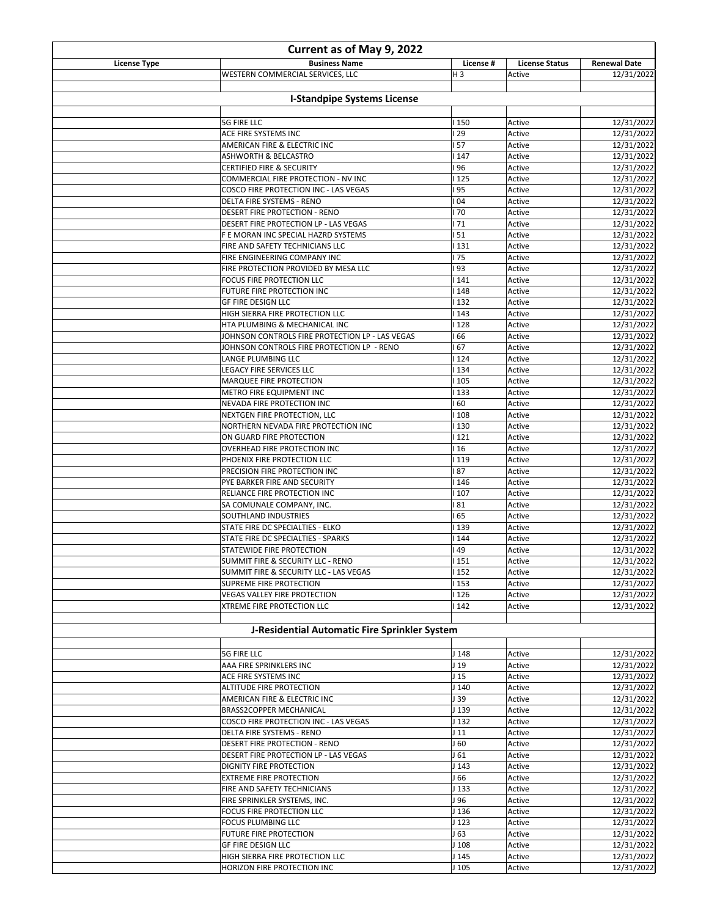| Current as of May 9, 2022 |                                                                        |                             |                       |                          |
|---------------------------|------------------------------------------------------------------------|-----------------------------|-----------------------|--------------------------|
| <b>License Type</b>       | <b>Business Name</b>                                                   | License #                   | <b>License Status</b> | <b>Renewal Date</b>      |
|                           | WESTERN COMMERCIAL SERVICES, LLC                                       | H <sub>3</sub>              | Active                | 12/31/2022               |
|                           | <b>I-Standpipe Systems License</b>                                     |                             |                       |                          |
|                           |                                                                        |                             |                       |                          |
|                           | <b>5G FIRE LLC</b>                                                     | 150                         | Active                | 12/31/2022               |
|                           | ACE FIRE SYSTEMS INC                                                   | 29                          | Active                | 12/31/2022               |
|                           | AMERICAN FIRE & ELECTRIC INC<br>ASHWORTH & BELCASTRO                   | 57<br>147                   | Active<br>Active      | 12/31/2022<br>12/31/2022 |
|                           | <b>CERTIFIED FIRE &amp; SECURITY</b>                                   | 96                          | Active                | 12/31/2022               |
|                           | COMMERCIAL FIRE PROTECTION - NV INC                                    | 125                         | Active                | 12/31/2022               |
|                           | COSCO FIRE PROTECTION INC - LAS VEGAS                                  | 95                          | Active                | 12/31/2022               |
|                           | DELTA FIRE SYSTEMS - RENO                                              | 04                          | Active                | 12/31/2022               |
|                           | DESERT FIRE PROTECTION - RENO<br>DESERT FIRE PROTECTION LP - LAS VEGAS | 70<br>71                    | Active<br>Active      | 12/31/2022<br>12/31/2022 |
|                           | F E MORAN INC SPECIAL HAZRD SYSTEMS                                    | 51                          | Active                | 12/31/2022               |
|                           | FIRE AND SAFETY TECHNICIANS LLC                                        | 131                         | Active                | 12/31/2022               |
|                           | FIRE ENGINEERING COMPANY INC                                           | 175                         | Active                | 12/31/2022               |
|                           | FIRE PROTECTION PROVIDED BY MESA LLC                                   | 93                          | Active                | 12/31/2022               |
|                           | FOCUS FIRE PROTECTION LLC<br>FUTURE FIRE PROTECTION INC                | 141<br>  148                | Active<br>Active      | 12/31/2022<br>12/31/2022 |
|                           | <b>GF FIRE DESIGN LLC</b>                                              | 132                         | Active                | 12/31/2022               |
|                           | HIGH SIERRA FIRE PROTECTION LLC                                        | 143                         | Active                | 12/31/2022               |
|                           | HTA PLUMBING & MECHANICAL INC                                          | 128                         | Active                | 12/31/2022               |
|                           | JOHNSON CONTROLS FIRE PROTECTION LP - LAS VEGAS                        | 66                          | Active                | 12/31/2022               |
|                           | JOHNSON CONTROLS FIRE PROTECTION LP - RENO<br>LANGE PLUMBING LLC       | 67<br>  124                 | Active<br>Active      | 12/31/2022<br>12/31/2022 |
|                           | <b>LEGACY FIRE SERVICES LLC</b>                                        | 134                         | Active                | 12/31/2022               |
|                           | MARQUEE FIRE PROTECTION                                                | 105                         | Active                | 12/31/2022               |
|                           | METRO FIRE EQUIPMENT INC                                               | 133                         | Active                | 12/31/2022               |
|                           | NEVADA FIRE PROTECTION INC                                             | 60                          | Active                | 12/31/2022               |
|                           | NEXTGEN FIRE PROTECTION, LLC<br>NORTHERN NEVADA FIRE PROTECTION INC    | 108<br>130                  | Active<br>Active      | 12/31/2022<br>12/31/2022 |
|                           | ON GUARD FIRE PROTECTION                                               | 121                         | Active                | 12/31/2022               |
|                           | OVERHEAD FIRE PROTECTION INC                                           | 16                          | Active                | 12/31/2022               |
|                           | PHOENIX FIRE PROTECTION LLC                                            | 119                         | Active                | 12/31/2022               |
|                           | PRECISION FIRE PROTECTION INC                                          | 87                          | Active                | 12/31/2022               |
|                           | PYE BARKER FIRE AND SECURITY<br>RELIANCE FIRE PROTECTION INC           | 146<br>  107                | Active<br>Active      | 12/31/2022<br>12/31/2022 |
|                           | SA COMUNALE COMPANY, INC.                                              | 81                          | Active                | 12/31/2022               |
|                           | SOUTHLAND INDUSTRIES                                                   | 65                          | Active                | 12/31/2022               |
|                           | STATE FIRE DC SPECIALTIES - ELKO                                       | 139                         | Active                | 12/31/2022               |
|                           | STATE FIRE DC SPECIALTIES - SPARKS                                     | 144                         | Active                | 12/31/2022               |
|                           | STATEWIDE FIRE PROTECTION<br>SUMMIT FIRE & SECURITY LLC - RENO         | 49<br>  151                 | Active<br>Active      | 12/31/2022<br>12/31/2022 |
|                           | SUMMIT FIRE & SECURITY LLC - LAS VEGAS                                 | 152                         | Active                | 12/31/2022               |
|                           | SUPREME FIRE PROTECTION                                                | 153                         | Active                | 12/31/2022               |
|                           | VEGAS VALLEY FIRE PROTECTION                                           | I 126                       | Active                | 12/31/2022               |
|                           | XTREME FIRE PROTECTION LLC                                             | 142                         | Active                | 12/31/2022               |
|                           | J-Residential Automatic Fire Sprinkler System                          |                             |                       |                          |
|                           | <b>5G FIRE LLC</b>                                                     | J 148                       | Active                | 12/31/2022               |
|                           | AAA FIRE SPRINKLERS INC                                                | J <sub>19</sub>             | Active                | 12/31/2022               |
|                           | ACE FIRE SYSTEMS INC                                                   | J <sub>15</sub>             | Active                | 12/31/2022               |
|                           | ALTITUDE FIRE PROTECTION                                               | J 140                       | Active                | 12/31/2022               |
|                           | AMERICAN FIRE & ELECTRIC INC                                           | J 39                        | Active                | 12/31/2022               |
|                           | BRASS2COPPER MECHANICAL                                                | J 139                       | Active                | 12/31/2022               |
|                           | COSCO FIRE PROTECTION INC - LAS VEGAS<br>DELTA FIRE SYSTEMS - RENO     | J 132<br>J <sub>11</sub>    | Active<br>Active      | 12/31/2022<br>12/31/2022 |
|                           | DESERT FIRE PROTECTION - RENO                                          | J 60                        | Active                | 12/31/2022               |
|                           | DESERT FIRE PROTECTION LP - LAS VEGAS                                  | J61                         | Active                | 12/31/2022               |
|                           | DIGNITY FIRE PROTECTION                                                | J <sub>143</sub>            | Active                | 12/31/2022               |
|                           | <b>EXTREME FIRE PROTECTION</b>                                         | J 66                        | Active                | 12/31/2022               |
|                           | FIRE AND SAFETY TECHNICIANS<br>FIRE SPRINKLER SYSTEMS, INC.            | J 133<br>J 96               | Active<br>Active      | 12/31/2022<br>12/31/2022 |
|                           | FOCUS FIRE PROTECTION LLC                                              | J 136                       | Active                | 12/31/2022               |
|                           | FOCUS PLUMBING LLC                                                     | J <sub>123</sub>            | Active                | 12/31/2022               |
|                           | FUTURE FIRE PROTECTION                                                 | J 63                        | Active                | 12/31/2022               |
|                           | GF FIRE DESIGN LLC                                                     | J 108                       | Active                | 12/31/2022               |
|                           | HIGH SIERRA FIRE PROTECTION LLC<br>HORIZON FIRE PROTECTION INC         | J <sub>145</sub><br>$J$ 105 | Active<br>Active      | 12/31/2022<br>12/31/2022 |
|                           |                                                                        |                             |                       |                          |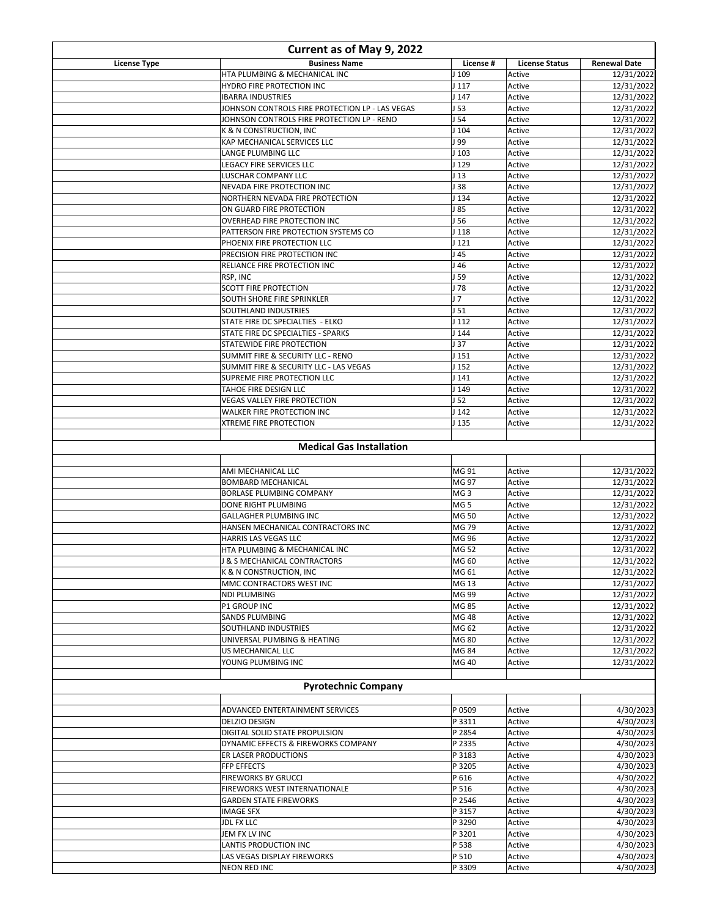| Current as of May 9, 2022 |                                                                       |                                      |                       |                          |
|---------------------------|-----------------------------------------------------------------------|--------------------------------------|-----------------------|--------------------------|
| <b>License Type</b>       | <b>Business Name</b>                                                  | License #                            | <b>License Status</b> | <b>Renewal Date</b>      |
|                           | HTA PLUMBING & MECHANICAL INC                                         | J 109                                | Active                | 12/31/2022               |
|                           | HYDRO FIRE PROTECTION INC<br><b>IBARRA INDUSTRIES</b>                 | J <sub>117</sub><br>J147             | Active<br>Active      | 12/31/2022<br>12/31/2022 |
|                           | JOHNSON CONTROLS FIRE PROTECTION LP - LAS VEGAS                       | J53                                  | Active                | 12/31/2022               |
|                           | JOHNSON CONTROLS FIRE PROTECTION LP - RENO                            | J <sub>54</sub>                      | Active                | 12/31/2022               |
|                           | K & N CONSTRUCTION, INC                                               | $J$ 104                              | Active                | 12/31/2022               |
|                           | KAP MECHANICAL SERVICES LLC                                           | J 99                                 | Active                | 12/31/2022               |
|                           | LANGE PLUMBING LLC                                                    | J <sub>103</sub>                     | Active                | 12/31/2022               |
|                           | LEGACY FIRE SERVICES LLC<br>LUSCHAR COMPANY LLC                       | J 129<br>113                         | Active<br>Active      | 12/31/2022<br>12/31/2022 |
|                           | NEVADA FIRE PROTECTION INC                                            | J38                                  | Active                | 12/31/2022               |
|                           | NORTHERN NEVADA FIRE PROTECTION                                       | J 134                                | Active                | 12/31/2022               |
|                           | ON GUARD FIRE PROTECTION                                              | 185                                  | Active                | 12/31/2022               |
|                           | OVERHEAD FIRE PROTECTION INC                                          | J 56                                 | Active                | 12/31/2022               |
|                           | PATTERSON FIRE PROTECTION SYSTEMS CO<br>PHOENIX FIRE PROTECTION LLC   | J <sub>118</sub><br>J <sub>121</sub> | Active<br>Active      | 12/31/2022<br>12/31/2022 |
|                           | PRECISION FIRE PROTECTION INC                                         | J45                                  | Active                | 12/31/2022               |
|                           | RELIANCE FIRE PROTECTION INC                                          | J 46                                 | Active                | 12/31/2022               |
|                           | RSP, INC                                                              | J 59                                 | Active                | 12/31/2022               |
|                           | <b>SCOTT FIRE PROTECTION</b>                                          | J 78                                 | Active                | 12/31/2022               |
|                           | <b>SOUTH SHORE FIRE SPRINKLER</b><br>SOUTHLAND INDUSTRIES             | J <sub>7</sub><br>J51                | Active<br>Active      | 12/31/2022<br>12/31/2022 |
|                           | STATE FIRE DC SPECIALTIES - ELKO                                      | J112                                 | Active                | 12/31/2022               |
|                           | STATE FIRE DC SPECIALTIES - SPARKS                                    | J <sub>144</sub>                     | Active                | 12/31/2022               |
|                           | STATEWIDE FIRE PROTECTION                                             | J37                                  | Active                | 12/31/2022               |
|                           | SUMMIT FIRE & SECURITY LLC - RENO                                     | J <sub>151</sub>                     | Active                | 12/31/2022               |
|                           | SUMMIT FIRE & SECURITY LLC - LAS VEGAS<br>SUPREME FIRE PROTECTION LLC | J <sub>152</sub><br>J141             | Active<br>Active      | 12/31/2022<br>12/31/2022 |
|                           | TAHOE FIRE DESIGN LLC                                                 | J149                                 | Active                | 12/31/2022               |
|                           | <b>VEGAS VALLEY FIRE PROTECTION</b>                                   | J <sub>52</sub>                      | Active                | 12/31/2022               |
|                           | <b>WALKER FIRE PROTECTION INC</b>                                     | J <sub>142</sub>                     | Active                | 12/31/2022               |
|                           | <b>XTREME FIRE PROTECTION</b>                                         | J 135                                | Active                | 12/31/2022               |
|                           |                                                                       |                                      |                       |                          |
|                           | <b>Medical Gas Installation</b>                                       |                                      |                       |                          |
|                           | AMI MECHANICAL LLC                                                    | MG 91                                | Active                | 12/31/2022               |
|                           | <b>BOMBARD MECHANICAL</b>                                             | MG 97                                | Active                | 12/31/2022               |
|                           | BORLASE PLUMBING COMPANY                                              | MG <sub>3</sub>                      | Active                | 12/31/2022               |
|                           | DONE RIGHT PLUMBING                                                   | MG <sub>5</sub>                      | Active                | 12/31/2022               |
|                           | GALLAGHER PLUMBING INC                                                | MG 50                                | Active                | 12/31/2022               |
|                           | HANSEN MECHANICAL CONTRACTORS INC<br><b>HARRIS LAS VEGAS LLC</b>      | MG 79<br>MG 96                       | Active<br>Active      | 12/31/2022<br>12/31/2022 |
|                           | HTA PLUMBING & MECHANICAL INC                                         | MG 52                                | Active                | 12/31/2022               |
|                           | J & S MECHANICAL CONTRACTORS                                          | MG 60                                | Active                | 12/31/2022               |
|                           | K & N CONSTRUCTION, INC                                               | MG 61                                | Active                | 12/31/2022               |
|                           | MMC CONTRACTORS WEST INC                                              | MG 13                                | Active                | 12/31/2022               |
|                           | NDI PLUMBING<br><b>P1 GROUP INC</b>                                   | MG 99                                | Active                | 12/31/2022               |
|                           | <b>SANDS PLUMBING</b>                                                 | MG 85<br>MG 48                       | Active<br>Active      | 12/31/2022<br>12/31/2022 |
|                           | SOUTHLAND INDUSTRIES                                                  | MG 62                                | Active                | 12/31/2022               |
|                           | UNIVERSAL PUMBING & HEATING                                           | <b>MG 80</b>                         | Active                | 12/31/2022               |
|                           | US MECHANICAL LLC                                                     | MG 84                                | Active                | 12/31/2022               |
|                           | YOUNG PLUMBING INC                                                    | MG 40                                | Active                | 12/31/2022               |
|                           | <b>Pyrotechnic Company</b>                                            |                                      |                       |                          |
|                           |                                                                       |                                      |                       |                          |
|                           | ADVANCED ENTERTAINMENT SERVICES                                       | P 0509                               | Active                | 4/30/2023                |
|                           | <b>DELZIO DESIGN</b>                                                  | P 3311                               | Active                | 4/30/2023                |
|                           | DIGITAL SOLID STATE PROPULSION                                        | P 2854                               | Active                | 4/30/2023                |
|                           | DYNAMIC EFFECTS & FIREWORKS COMPANY                                   | P 2335                               | Active                | 4/30/2023                |
|                           | ER LASER PRODUCTIONS                                                  | P 3183<br>P 3205                     | Active<br>Active      | 4/30/2023<br>4/30/2023   |
|                           | <b>FFP EFFECTS</b><br><b>FIREWORKS BY GRUCCI</b>                      | P 616                                | Active                | 4/30/2022                |
|                           | FIREWORKS WEST INTERNATIONALE                                         | P 516                                | Active                | 4/30/2023                |
|                           | <b>GARDEN STATE FIREWORKS</b>                                         | P 2546                               | Active                | 4/30/2023                |
|                           | <b>IMAGE SFX</b>                                                      | P 3157                               | Active                | 4/30/2023                |
|                           | <b>JDL FX LLC</b>                                                     | P 3290                               | Active                | 4/30/2023                |
|                           | JEM FX LV INC<br>LANTIS PRODUCTION INC                                | P 3201<br>P 538                      | Active<br>Active      | 4/30/2023<br>4/30/2023   |
|                           | LAS VEGAS DISPLAY FIREWORKS                                           | P 510                                | Active                | 4/30/2023                |
|                           | NEON RED INC                                                          | P 3309                               | Active                | 4/30/2023                |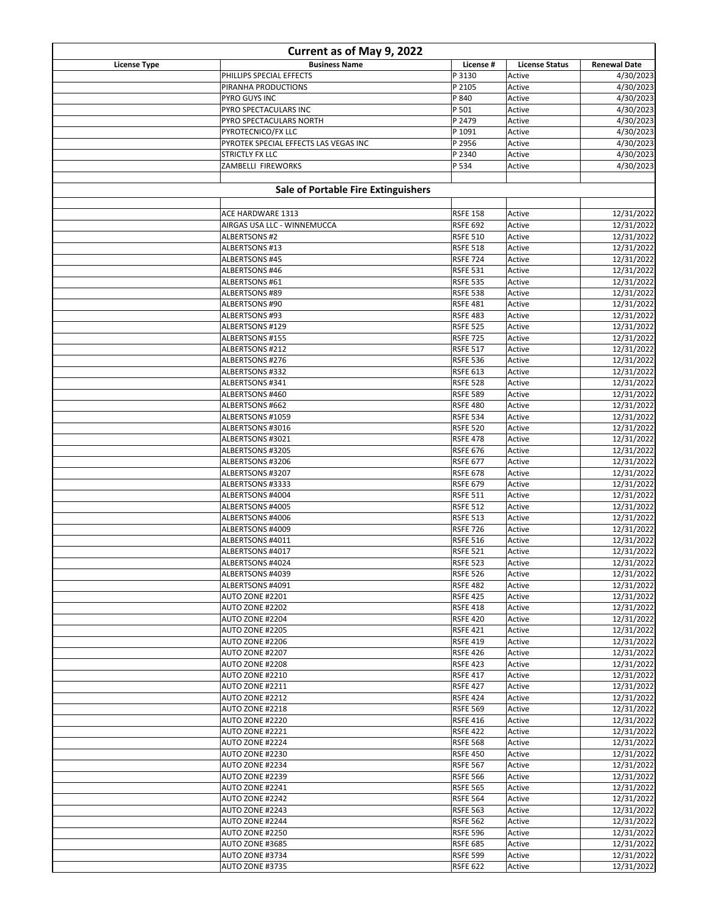| Current as of May 9, 2022 |                                                  |                                    |                       |                          |
|---------------------------|--------------------------------------------------|------------------------------------|-----------------------|--------------------------|
| <b>License Type</b>       | <b>Business Name</b>                             | License #                          | <b>License Status</b> | <b>Renewal Date</b>      |
|                           | PHILLIPS SPECIAL EFFECTS                         | P 3130                             | Active                | 4/30/2023                |
|                           | PIRANHA PRODUCTIONS                              | P 2105                             | Active                | 4/30/2023                |
|                           | PYRO GUYS INC                                    | P 840                              | Active                | 4/30/2023                |
|                           | PYRO SPECTACULARS INC<br>PYRO SPECTACULARS NORTH | P 501<br>P 2479                    | Active<br>Active      | 4/30/2023<br>4/30/2023   |
|                           | PYROTECNICO/FX LLC                               | P 1091                             | Active                | 4/30/2023                |
|                           | PYROTEK SPECIAL EFFECTS LAS VEGAS INC            | P 2956                             | Active                | 4/30/2023                |
|                           | <b>STRICTLY FX LLC</b>                           | P 2340                             | Active                | 4/30/2023                |
|                           | ZAMBELLI FIREWORKS                               | P 534                              | Active                | 4/30/2023                |
|                           |                                                  |                                    |                       |                          |
|                           | <b>Sale of Portable Fire Extinguishers</b>       |                                    |                       |                          |
|                           |                                                  | <b>RSFE 158</b>                    | Active                |                          |
|                           | ACE HARDWARE 1313<br>AIRGAS USA LLC - WINNEMUCCA | <b>RSFE 692</b>                    | Active                | 12/31/2022<br>12/31/2022 |
|                           | <b>ALBERTSONS #2</b>                             | <b>RSFE 510</b>                    | Active                | 12/31/2022               |
|                           | ALBERTSONS #13                                   | <b>RSFE 518</b>                    | Active                | 12/31/2022               |
|                           | ALBERTSONS #45                                   | <b>RSFE 724</b>                    | Active                | 12/31/2022               |
|                           | ALBERTSONS #46                                   | <b>RSFE 531</b>                    | Active                | 12/31/2022               |
|                           | ALBERTSONS #61                                   | <b>RSFE 535</b>                    | Active                | 12/31/2022               |
|                           | ALBERTSONS #89                                   | <b>RSFE 538</b>                    | Active                | 12/31/2022               |
|                           | ALBERTSONS #90                                   | <b>RSFE 481</b>                    | Active                | 12/31/2022               |
|                           | ALBERTSONS #93                                   | <b>RSFE 483</b>                    | Active                | 12/31/2022               |
|                           | ALBERTSONS #129                                  | <b>RSFE 525</b>                    | Active                | 12/31/2022               |
|                           | ALBERTSONS #155                                  | <b>RSFE 725</b>                    | Active                | 12/31/2022               |
|                           | ALBERTSONS #212                                  | <b>RSFE 517</b>                    | Active                | 12/31/2022               |
|                           | ALBERTSONS #276                                  | <b>RSFE 536</b>                    | Active                | 12/31/2022               |
|                           | ALBERTSONS #332                                  | <b>RSFE 613</b>                    | Active                | 12/31/2022               |
|                           | ALBERTSONS #341                                  | <b>RSFE 528</b>                    | Active                | 12/31/2022               |
|                           | ALBERTSONS #460                                  | <b>RSFE 589</b>                    | Active                | 12/31/2022               |
|                           | ALBERTSONS #662                                  | <b>RSFE 480</b>                    | Active                | 12/31/2022               |
|                           | ALBERTSONS #1059                                 | <b>RSFE 534</b>                    | Active                | 12/31/2022               |
|                           | ALBERTSONS #3016                                 | <b>RSFE 520</b>                    | Active                | 12/31/2022               |
|                           | ALBERTSONS #3021                                 | <b>RSFE 478</b>                    | Active<br>Active      | 12/31/2022<br>12/31/2022 |
|                           | ALBERTSONS #3205<br>ALBERTSONS #3206             | <b>RSFE 676</b><br><b>RSFE 677</b> | Active                | 12/31/2022               |
|                           | ALBERTSONS #3207                                 | <b>RSFE 678</b>                    | Active                | 12/31/2022               |
|                           | ALBERTSONS #3333                                 | <b>RSFE 679</b>                    | Active                | 12/31/2022               |
|                           | ALBERTSONS #4004                                 | <b>RSFE 511</b>                    | Active                | 12/31/2022               |
|                           | ALBERTSONS #4005                                 | <b>RSFE 512</b>                    | Active                | 12/31/2022               |
|                           | ALBERTSONS #4006                                 | <b>RSFE 513</b>                    | Active                | 12/31/2022               |
|                           | ALBERTSONS #4009                                 | <b>RSFE 726</b>                    | Active                | 12/31/2022               |
|                           | ALBERTSONS #4011                                 | <b>RSFE 516</b>                    | Active                | 12/31/2022               |
|                           | ALBERTSONS #4017                                 | <b>RSFE 521</b>                    | Active                | 12/31/2022               |
|                           | ALBERTSONS #4024                                 | <b>RSFE 523</b>                    | Active                | 12/31/2022               |
|                           | ALBERTSONS #4039                                 | <b>RSFE 526</b>                    | Active                | 12/31/2022               |
|                           | ALBERTSONS #4091                                 | <b>RSFE 482</b>                    | Active                | 12/31/2022               |
|                           | AUTO ZONE #2201                                  | <b>RSFE 425</b>                    | Active                | 12/31/2022               |
|                           | AUTO ZONE #2202                                  | <b>RSFE 418</b>                    | Active                | 12/31/2022               |
|                           | AUTO ZONE #2204                                  | <b>RSFE 420</b>                    | Active                | 12/31/2022               |
|                           | AUTO ZONE #2205                                  | <b>RSFE 421</b>                    | Active                | 12/31/2022               |
|                           | AUTO ZONE #2206                                  | <b>RSFE 419</b>                    | Active                | 12/31/2022               |
|                           | AUTO ZONE #2207<br>AUTO ZONE #2208               | <b>RSFE 426</b>                    | Active                | 12/31/2022               |
|                           | AUTO ZONE #2210                                  | <b>RSFE 423</b><br><b>RSFE 417</b> | Active<br>Active      | 12/31/2022<br>12/31/2022 |
|                           | AUTO ZONE #2211                                  | <b>RSFE 427</b>                    | Active                | 12/31/2022               |
|                           | AUTO ZONE #2212                                  | <b>RSFE 424</b>                    | Active                | 12/31/2022               |
|                           | AUTO ZONE #2218                                  | <b>RSFE 569</b>                    | Active                | 12/31/2022               |
|                           | AUTO ZONE #2220                                  | <b>RSFE 416</b>                    | Active                | 12/31/2022               |
|                           | <b>AUTO ZONE #2221</b>                           | <b>RSFE 422</b>                    | Active                | 12/31/2022               |
|                           | AUTO ZONE #2224                                  | <b>RSFE 568</b>                    | Active                | 12/31/2022               |
|                           | AUTO ZONE #2230                                  | <b>RSFE 450</b>                    | Active                | 12/31/2022               |
|                           | AUTO ZONE #2234                                  | <b>RSFE 567</b>                    | Active                | 12/31/2022               |
|                           | AUTO ZONE #2239                                  | <b>RSFE 566</b>                    | Active                | 12/31/2022               |
|                           | <b>AUTO ZONE #2241</b>                           | <b>RSFE 565</b>                    | Active                | 12/31/2022               |
|                           | AUTO ZONE #2242                                  | <b>RSFE 564</b>                    | Active                | 12/31/2022               |
|                           | AUTO ZONE #2243                                  | <b>RSFE 563</b>                    | Active                | 12/31/2022               |
|                           | AUTO ZONE #2244                                  | <b>RSFE 562</b>                    | Active                | 12/31/2022               |
|                           | AUTO ZONE #2250                                  | <b>RSFE 596</b>                    | Active                | 12/31/2022               |
|                           | AUTO ZONE #3685                                  | <b>RSFE 685</b>                    | Active                | 12/31/2022               |
|                           | AUTO ZONE #3734                                  | <b>RSFE 599</b>                    | Active                | 12/31/2022               |
|                           | AUTO ZONE #3735                                  | <b>RSFE 622</b>                    | Active                | 12/31/2022               |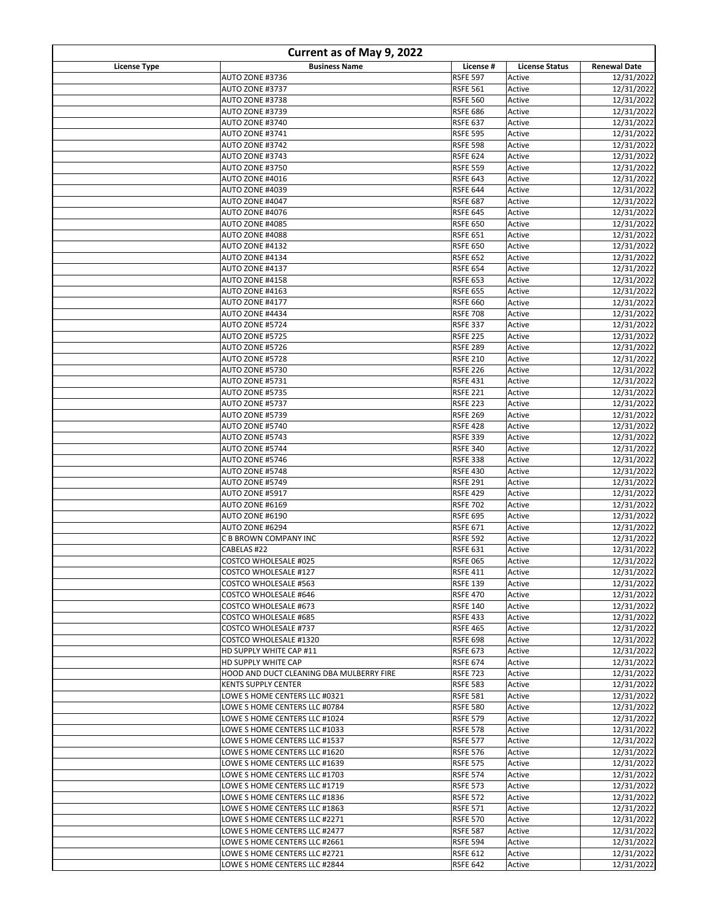| Current as of May 9, 2022 |                                                                |                                    |                       |                          |
|---------------------------|----------------------------------------------------------------|------------------------------------|-----------------------|--------------------------|
| <b>License Type</b>       | <b>Business Name</b>                                           | License #                          | <b>License Status</b> | <b>Renewal Date</b>      |
|                           | AUTO ZONE #3736                                                | <b>RSFE 597</b>                    | Active                | 12/31/2022               |
|                           | <b>AUTO ZONE #3737</b>                                         | <b>RSFE 561</b>                    | Active                | 12/31/2022               |
|                           | AUTO ZONE #3738                                                | <b>RSFE 560</b>                    | Active                | 12/31/2022               |
|                           | AUTO ZONE #3739                                                | <b>RSFE 686</b>                    | Active                | 12/31/2022               |
|                           | AUTO ZONE #3740                                                | <b>RSFE 637</b>                    | Active                | 12/31/2022               |
|                           | AUTO ZONE #3741                                                | <b>RSFE 595</b>                    | Active                | 12/31/2022               |
|                           | AUTO ZONE #3742<br>AUTO ZONE #3743                             | <b>RSFE 598</b><br><b>RSFE 624</b> | Active<br>Active      | 12/31/2022<br>12/31/2022 |
|                           | AUTO ZONE #3750                                                | <b>RSFE 559</b>                    | Active                | 12/31/2022               |
|                           | AUTO ZONE #4016                                                | <b>RSFE 643</b>                    | Active                | 12/31/2022               |
|                           | AUTO ZONE #4039                                                | <b>RSFE 644</b>                    | Active                | 12/31/2022               |
|                           | AUTO ZONE #4047                                                | <b>RSFE 687</b>                    | Active                | 12/31/2022               |
|                           | AUTO ZONE #4076                                                | <b>RSFE 645</b>                    | Active                | 12/31/2022               |
|                           | AUTO ZONE #4085                                                | <b>RSFE 650</b>                    | Active                | 12/31/2022               |
|                           | AUTO ZONE #4088                                                | <b>RSFE 651</b>                    | Active                | 12/31/2022               |
|                           | AUTO ZONE #4132                                                | <b>RSFE 650</b>                    | Active                | 12/31/2022               |
|                           | AUTO ZONE #4134                                                | <b>RSFE 652</b>                    | Active                | 12/31/2022               |
|                           | AUTO ZONE #4137                                                | <b>RSFE 654</b>                    | Active                | 12/31/2022               |
|                           | AUTO ZONE #4158                                                | <b>RSFE 653</b>                    | Active                | 12/31/2022               |
|                           | AUTO ZONE #4163                                                | <b>RSFE 655</b>                    | Active                | 12/31/2022               |
|                           | AUTO ZONE #4177                                                | <b>RSFE 660</b>                    | Active                | 12/31/2022               |
|                           | AUTO ZONE #4434                                                | <b>RSFE 708</b>                    | Active                | 12/31/2022               |
|                           | AUTO ZONE #5724                                                | <b>RSFE 337</b>                    | Active                | 12/31/2022               |
|                           | AUTO ZONE #5725<br>AUTO ZONE #5726                             | <b>RSFE 225</b>                    | Active                | 12/31/2022               |
|                           | AUTO ZONE #5728                                                | <b>RSFE 289</b><br><b>RSFE 210</b> | Active<br>Active      | 12/31/2022<br>12/31/2022 |
|                           | AUTO ZONE #5730                                                | <b>RSFE 226</b>                    | Active                | 12/31/2022               |
|                           | AUTO ZONE #5731                                                | <b>RSFE 431</b>                    | Active                | 12/31/2022               |
|                           | AUTO ZONE #5735                                                | <b>RSFE 221</b>                    | Active                | 12/31/2022               |
|                           | AUTO ZONE #5737                                                | <b>RSFE 223</b>                    | Active                | 12/31/2022               |
|                           | AUTO ZONE #5739                                                | <b>RSFE 269</b>                    | Active                | 12/31/2022               |
|                           | AUTO ZONE #5740                                                | <b>RSFE 428</b>                    | Active                | 12/31/2022               |
|                           | AUTO ZONE #5743                                                | <b>RSFE 339</b>                    | Active                | 12/31/2022               |
|                           | AUTO ZONE #5744                                                | <b>RSFE 340</b>                    | Active                | 12/31/2022               |
|                           | AUTO ZONE #5746                                                | <b>RSFE 338</b>                    | Active                | 12/31/2022               |
|                           | AUTO ZONE #5748                                                | <b>RSFE 430</b>                    | Active                | 12/31/2022               |
|                           | AUTO ZONE #5749                                                | <b>RSFE 291</b>                    | Active                | 12/31/2022               |
|                           | AUTO ZONE #5917                                                | <b>RSFE 429</b>                    | Active                | 12/31/2022               |
|                           | AUTO ZONE #6169                                                | <b>RSFE 702</b>                    | Active                | 12/31/2022               |
|                           | AUTO ZONE #6190                                                | <b>RSFE 695</b>                    | Active                | 12/31/2022               |
|                           | AUTO ZONE #6294<br>C B BROWN COMPANY INC                       | <b>RSFE 671</b><br><b>RSFE 592</b> | Active<br>Active      | 12/31/2022<br>12/31/2022 |
|                           | CABELAS #22                                                    | <b>RSFE 631</b>                    | Active                | 12/31/2022               |
|                           | COSTCO WHOLESALE #025                                          | <b>RSFE 065</b>                    | Active                | 12/31/2022               |
|                           | <b>COSTCO WHOLESALE #127</b>                                   | <b>RSFE 411</b>                    | Active                | 12/31/2022               |
|                           | COSTCO WHOLESALE #563                                          | <b>RSFE 139</b>                    | Active                | 12/31/2022               |
|                           | COSTCO WHOLESALE #646                                          | <b>RSFE 470</b>                    | Active                | 12/31/2022               |
|                           | <b>COSTCO WHOLESALE #673</b>                                   | <b>RSFE 140</b>                    | Active                | 12/31/2022               |
|                           | COSTCO WHOLESALE #685                                          | <b>RSFE 433</b>                    | Active                | 12/31/2022               |
|                           | COSTCO WHOLESALE #737                                          | <b>RSFE 465</b>                    | Active                | 12/31/2022               |
|                           | COSTCO WHOLESALE #1320                                         | <b>RSFE 698</b>                    | Active                | 12/31/2022               |
|                           | HD SUPPLY WHITE CAP #11                                        | <b>RSFE 673</b>                    | Active                | 12/31/2022               |
|                           | HD SUPPLY WHITE CAP                                            | <b>RSFE 674</b>                    | Active                | 12/31/2022               |
|                           | HOOD AND DUCT CLEANING DBA MULBERRY FIRE                       | <b>RSFE 723</b>                    | Active                | 12/31/2022               |
|                           | <b>KENTS SUPPLY CENTER</b>                                     | <b>RSFE 583</b>                    | Active                | 12/31/2022<br>12/31/2022 |
|                           | LOWE S HOME CENTERS LLC #0321<br>LOWE S HOME CENTERS LLC #0784 | <b>RSFE 581</b><br><b>RSFE 580</b> | Active<br>Active      | 12/31/2022               |
|                           | LOWE S HOME CENTERS LLC #1024                                  | <b>RSFE 579</b>                    | Active                | 12/31/2022               |
|                           | LOWE S HOME CENTERS LLC #1033                                  | <b>RSFE 578</b>                    | Active                | 12/31/2022               |
|                           | LOWE S HOME CENTERS LLC #1537                                  | <b>RSFE 577</b>                    | Active                | 12/31/2022               |
|                           | LOWE S HOME CENTERS LLC #1620                                  | <b>RSFE 576</b>                    | Active                | 12/31/2022               |
|                           | LOWE S HOME CENTERS LLC #1639                                  | <b>RSFE 575</b>                    | Active                | 12/31/2022               |
|                           | LOWE S HOME CENTERS LLC #1703                                  | <b>RSFE 574</b>                    | Active                | 12/31/2022               |
|                           | LOWE S HOME CENTERS LLC #1719                                  | <b>RSFE 573</b>                    | Active                | 12/31/2022               |
|                           | LOWE S HOME CENTERS LLC #1836                                  | <b>RSFE 572</b>                    | Active                | 12/31/2022               |
|                           | LOWE S HOME CENTERS LLC #1863                                  | <b>RSFE 571</b>                    | Active                | 12/31/2022               |
|                           | LOWE S HOME CENTERS LLC #2271                                  | <b>RSFE 570</b>                    | Active                | 12/31/2022               |
|                           | LOWE S HOME CENTERS LLC #2477                                  | <b>RSFE 587</b>                    | Active                | 12/31/2022               |
|                           | LOWE S HOME CENTERS LLC #2661                                  | <b>RSFE 594</b>                    | Active                | 12/31/2022               |
|                           | LOWE S HOME CENTERS LLC #2721                                  | <b>RSFE 612</b>                    | Active                | 12/31/2022               |
|                           | LOWE S HOME CENTERS LLC #2844                                  | <b>RSFE 642</b>                    | Active                | 12/31/2022               |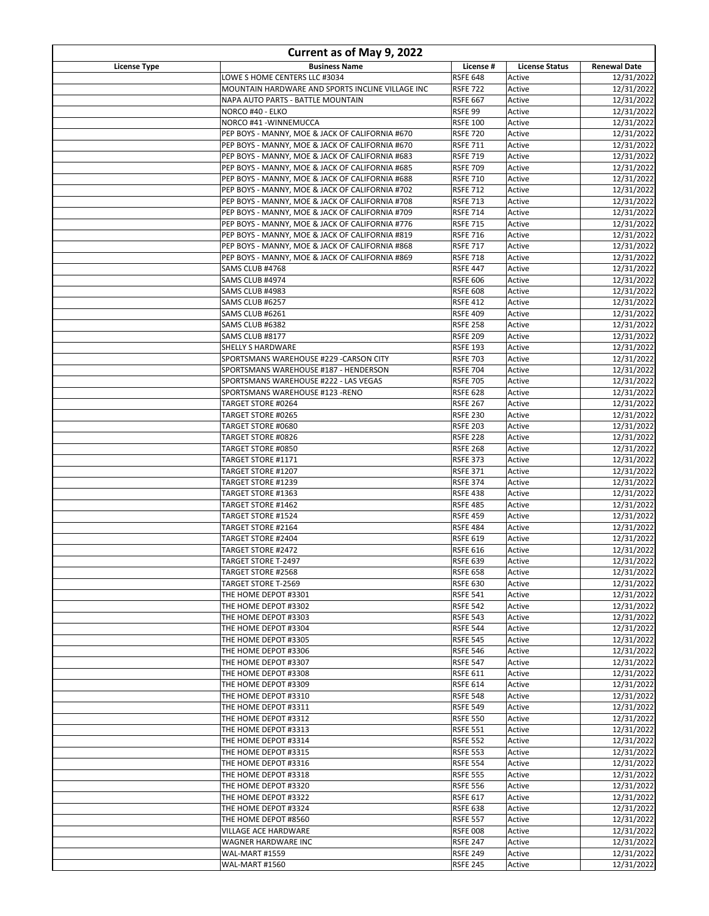| Current as of May 9, 2022 |                                                                                                    |                                    |                       |                          |
|---------------------------|----------------------------------------------------------------------------------------------------|------------------------------------|-----------------------|--------------------------|
| License Type              | <b>Business Name</b>                                                                               | License #                          | <b>License Status</b> | <b>Renewal Date</b>      |
|                           | LOWE S HOME CENTERS LLC #3034                                                                      | <b>RSFE 648</b>                    | Active                | 12/31/2022               |
|                           | MOUNTAIN HARDWARE AND SPORTS INCLINE VILLAGE INC                                                   | <b>RSFE 722</b>                    | Active                | 12/31/2022               |
|                           | NAPA AUTO PARTS - BATTLE MOUNTAIN<br>NORCO #40 - ELKO                                              | <b>RSFE 667</b><br>RSFE 99         | Active<br>Active      | 12/31/2022<br>12/31/2022 |
|                           | NORCO #41 - WINNEMUCCA                                                                             | <b>RSFE 100</b>                    | Active                | 12/31/2022               |
|                           | PEP BOYS - MANNY, MOE & JACK OF CALIFORNIA #670                                                    | <b>RSFE 720</b>                    | Active                | 12/31/2022               |
|                           | PEP BOYS - MANNY, MOE & JACK OF CALIFORNIA #670                                                    | <b>RSFE 711</b>                    | Active                | 12/31/2022               |
|                           | PEP BOYS - MANNY, MOE & JACK OF CALIFORNIA #683                                                    | <b>RSFE 719</b>                    | Active                | 12/31/2022               |
|                           | PEP BOYS - MANNY, MOE & JACK OF CALIFORNIA #685                                                    | <b>RSFE 709</b>                    | Active                | 12/31/2022               |
|                           | PEP BOYS - MANNY, MOE & JACK OF CALIFORNIA #688                                                    | <b>RSFE 710</b>                    | Active                | 12/31/2022               |
|                           | PEP BOYS - MANNY, MOE & JACK OF CALIFORNIA #702<br>PEP BOYS - MANNY, MOE & JACK OF CALIFORNIA #708 | <b>RSFE 712</b><br><b>RSFE 713</b> | Active<br>Active      | 12/31/2022<br>12/31/2022 |
|                           | PEP BOYS - MANNY, MOE & JACK OF CALIFORNIA #709                                                    | <b>RSFE 714</b>                    | Active                | 12/31/2022               |
|                           | PEP BOYS - MANNY, MOE & JACK OF CALIFORNIA #776                                                    | <b>RSFE 715</b>                    | Active                | 12/31/2022               |
|                           | PEP BOYS - MANNY, MOE & JACK OF CALIFORNIA #819                                                    | <b>RSFE 716</b>                    | Active                | 12/31/2022               |
|                           | PEP BOYS - MANNY, MOE & JACK OF CALIFORNIA #868                                                    | <b>RSFE 717</b>                    | Active                | 12/31/2022               |
|                           | PEP BOYS - MANNY, MOE & JACK OF CALIFORNIA #869                                                    | <b>RSFE 718</b>                    | Active                | 12/31/2022               |
|                           | SAMS CLUB #4768                                                                                    | <b>RSFE 447</b>                    | Active                | 12/31/2022<br>12/31/2022 |
|                           | SAMS CLUB #4974<br>SAMS CLUB #4983                                                                 | <b>RSFE 606</b><br><b>RSFE 608</b> | Active<br>Active      | 12/31/2022               |
|                           | SAMS CLUB #6257                                                                                    | <b>RSFE 412</b>                    | Active                | 12/31/2022               |
|                           | SAMS CLUB #6261                                                                                    | <b>RSFE 409</b>                    | Active                | 12/31/2022               |
|                           | SAMS CLUB #6382                                                                                    | <b>RSFE 258</b>                    | Active                | 12/31/2022               |
|                           | SAMS CLUB #8177                                                                                    | <b>RSFE 209</b>                    | Active                | 12/31/2022               |
|                           | <b>SHELLY S HARDWARE</b>                                                                           | <b>RSFE 193</b>                    | Active                | 12/31/2022               |
|                           | SPORTSMANS WAREHOUSE #229 -CARSON CITY                                                             | <b>RSFE 703</b>                    | Active                | 12/31/2022               |
|                           | SPORTSMANS WAREHOUSE #187 - HENDERSON<br>SPORTSMANS WAREHOUSE #222 - LAS VEGAS                     | <b>RSFE 704</b><br><b>RSFE 705</b> | Active<br>Active      | 12/31/2022<br>12/31/2022 |
|                           | SPORTSMANS WAREHOUSE #123 -RENO                                                                    | <b>RSFE 628</b>                    | Active                | 12/31/2022               |
|                           | TARGET STORE #0264                                                                                 | <b>RSFE 267</b>                    | Active                | 12/31/2022               |
|                           | TARGET STORE #0265                                                                                 | <b>RSFE 230</b>                    | Active                | 12/31/2022               |
|                           | TARGET STORE #0680                                                                                 | <b>RSFE 203</b>                    | Active                | 12/31/2022               |
|                           | TARGET STORE #0826                                                                                 | <b>RSFE 228</b>                    | Active                | 12/31/2022               |
|                           | TARGET STORE #0850                                                                                 | <b>RSFE 268</b>                    | Active                | 12/31/2022               |
|                           | TARGET STORE #1171<br>TARGET STORE #1207                                                           | <b>RSFE 373</b><br><b>RSFE 371</b> | Active<br>Active      | 12/31/2022<br>12/31/2022 |
|                           | TARGET STORE #1239                                                                                 | <b>RSFE 374</b>                    | Active                | 12/31/2022               |
|                           | TARGET STORE #1363                                                                                 | <b>RSFE 438</b>                    | Active                | 12/31/2022               |
|                           | TARGET STORE #1462                                                                                 | <b>RSFE 485</b>                    | Active                | 12/31/2022               |
|                           | <b>TARGET STORE #1524</b>                                                                          | <b>RSFE 459</b>                    | Active                | 12/31/2022               |
|                           | TARGET STORE #2164                                                                                 | <b>RSFE 484</b>                    | Active                | 12/31/2022               |
|                           | TARGET STORE #2404<br>TARGET STORE #2472                                                           | <b>RSFE 619</b><br><b>RSFE 616</b> | Active<br>Active      | 12/31/2022<br>12/31/2022 |
|                           | <b>TARGET STORE T-2497</b>                                                                         | <b>RSFE 639</b>                    | Active                | 12/31/2022               |
|                           | TARGET STORE #2568                                                                                 | <b>RSFE 658</b>                    | Active                | 12/31/2022               |
|                           | TARGET STORE T-2569                                                                                | <b>RSFE 630</b>                    | Active                | 12/31/2022               |
|                           | THE HOME DEPOT #3301                                                                               | <b>RSFE 541</b>                    | Active                | 12/31/2022               |
|                           | THE HOME DEPOT #3302                                                                               | <b>RSFE 542</b>                    | Active                | 12/31/2022               |
|                           | THE HOME DEPOT #3303                                                                               | <b>RSFE 543</b>                    | Active                | 12/31/2022<br>12/31/2022 |
|                           | THE HOME DEPOT #3304<br>THE HOME DEPOT #3305                                                       | <b>RSFE 544</b><br><b>RSFE 545</b> | Active<br>Active      | 12/31/2022               |
|                           | THE HOME DEPOT #3306                                                                               | <b>RSFE 546</b>                    | Active                | 12/31/2022               |
|                           | THE HOME DEPOT #3307                                                                               | <b>RSFE 547</b>                    | Active                | 12/31/2022               |
|                           | THE HOME DEPOT #3308                                                                               | <b>RSFE 611</b>                    | Active                | 12/31/2022               |
|                           | THE HOME DEPOT #3309                                                                               | <b>RSFE 614</b>                    | Active                | 12/31/2022               |
|                           | THE HOME DEPOT #3310                                                                               | <b>RSFE 548</b>                    | Active                | 12/31/2022               |
|                           | THE HOME DEPOT #3311<br>THE HOME DEPOT #3312                                                       | <b>RSFE 549</b><br><b>RSFE 550</b> | Active<br>Active      | 12/31/2022<br>12/31/2022 |
|                           | THE HOME DEPOT #3313                                                                               | <b>RSFE 551</b>                    | Active                | 12/31/2022               |
|                           | THE HOME DEPOT #3314                                                                               | <b>RSFE 552</b>                    | Active                | 12/31/2022               |
|                           | THE HOME DEPOT #3315                                                                               | <b>RSFE 553</b>                    | Active                | 12/31/2022               |
|                           | THE HOME DEPOT #3316                                                                               | <b>RSFE 554</b>                    | Active                | 12/31/2022               |
|                           | THE HOME DEPOT #3318                                                                               | <b>RSFE 555</b>                    | Active                | 12/31/2022               |
|                           | THE HOME DEPOT #3320                                                                               | <b>RSFE 556</b>                    | Active                | 12/31/2022               |
|                           | THE HOME DEPOT #3322<br>THE HOME DEPOT #3324                                                       | <b>RSFE 617</b><br><b>RSFE 638</b> | Active<br>Active      | 12/31/2022<br>12/31/2022 |
|                           | THE HOME DEPOT #8560                                                                               | <b>RSFE 557</b>                    | Active                | 12/31/2022               |
|                           | VILLAGE ACE HARDWARE                                                                               | <b>RSFE 008</b>                    | Active                | 12/31/2022               |
|                           | WAGNER HARDWARE INC                                                                                | <b>RSFE 247</b>                    | Active                | 12/31/2022               |
|                           | <b>WAL-MART #1559</b>                                                                              | <b>RSFE 249</b>                    | Active                | 12/31/2022               |
|                           | WAL-MART #1560                                                                                     | <b>RSFE 245</b>                    | Active                | 12/31/2022               |